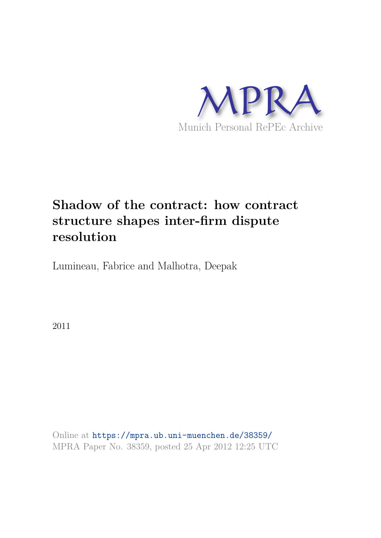

# **Shadow of the contract: how contract structure shapes inter-firm dispute resolution**

Lumineau, Fabrice and Malhotra, Deepak

2011

Online at https://mpra.ub.uni-muenchen.de/38359/ MPRA Paper No. 38359, posted 25 Apr 2012 12:25 UTC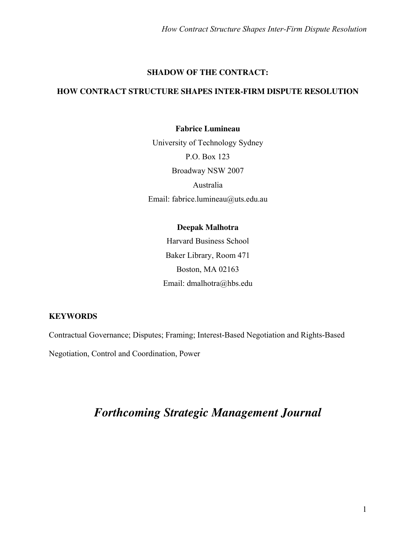#### **SHADOW OF THE CONTRACT:**

### **HOW CONTRACT STRUCTURE SHAPES INTER-FIRM DISPUTE RESOLUTION**

#### **Fabrice Lumineau**

University of Technology Sydney P.O. Box 123 Broadway NSW 2007 Australia Email: fabrice.lumineau@uts.edu.au

#### **Deepak Malhotra**

Harvard Business School Baker Library, Room 471 Boston, MA 02163 Email: dmalhotra@hbs.edu

#### **KEYWORDS**

Contractual Governance; Disputes; Framing; Interest-Based Negotiation and Rights-Based

Negotiation, Control and Coordination, Power

## *Forthcoming Strategic Management Journal*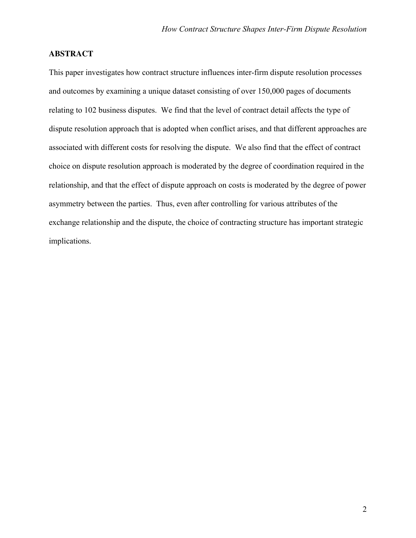#### **ABSTRACT**

This paper investigates how contract structure influences inter-firm dispute resolution processes and outcomes by examining a unique dataset consisting of over 150,000 pages of documents relating to 102 business disputes. We find that the level of contract detail affects the type of dispute resolution approach that is adopted when conflict arises, and that different approaches are associated with different costs for resolving the dispute. We also find that the effect of contract choice on dispute resolution approach is moderated by the degree of coordination required in the relationship, and that the effect of dispute approach on costs is moderated by the degree of power asymmetry between the parties. Thus, even after controlling for various attributes of the exchange relationship and the dispute, the choice of contracting structure has important strategic implications.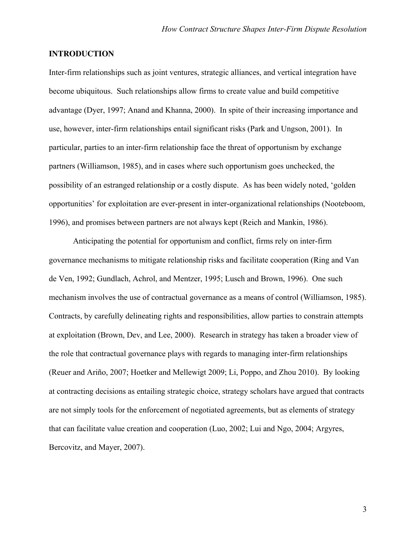#### **INTRODUCTION**

Inter-firm relationships such as joint ventures, strategic alliances, and vertical integration have become ubiquitous. Such relationships allow firms to create value and build competitive advantage (Dyer, 1997; Anand and Khanna, 2000). In spite of their increasing importance and use, however, inter-firm relationships entail significant risks (Park and Ungson, 2001). In particular, parties to an inter-firm relationship face the threat of opportunism by exchange partners (Williamson, 1985), and in cases where such opportunism goes unchecked, the possibility of an estranged relationship or a costly dispute. As has been widely noted, 'golden opportunities' for exploitation are ever-present in inter-organizational relationships (Nooteboom, 1996), and promises between partners are not always kept (Reich and Mankin, 1986).

Anticipating the potential for opportunism and conflict, firms rely on inter-firm governance mechanisms to mitigate relationship risks and facilitate cooperation (Ring and Van de Ven, 1992; Gundlach, Achrol, and Mentzer, 1995; Lusch and Brown, 1996). One such mechanism involves the use of contractual governance as a means of control (Williamson, 1985). Contracts, by carefully delineating rights and responsibilities, allow parties to constrain attempts at exploitation (Brown, Dev, and Lee, 2000). Research in strategy has taken a broader view of the role that contractual governance plays with regards to managing inter-firm relationships (Reuer and Ariño, 2007; Hoetker and Mellewigt 2009; Li, Poppo, and Zhou 2010). By looking at contracting decisions as entailing strategic choice, strategy scholars have argued that contracts are not simply tools for the enforcement of negotiated agreements, but as elements of strategy that can facilitate value creation and cooperation (Luo, 2002; Lui and Ngo, 2004; Argyres, Bercovitz, and Mayer, 2007).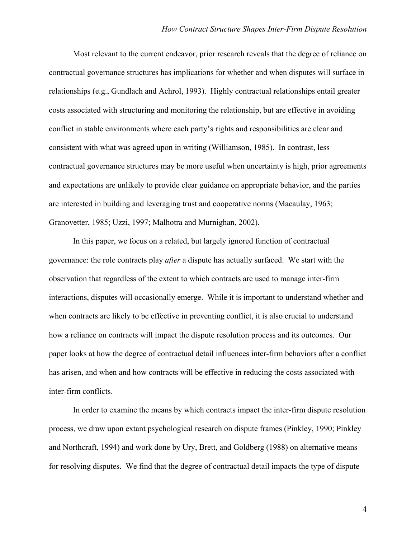Most relevant to the current endeavor, prior research reveals that the degree of reliance on contractual governance structures has implications for whether and when disputes will surface in relationships (e.g., Gundlach and Achrol, 1993). Highly contractual relationships entail greater costs associated with structuring and monitoring the relationship, but are effective in avoiding conflict in stable environments where each party's rights and responsibilities are clear and consistent with what was agreed upon in writing (Williamson, 1985). In contrast, less contractual governance structures may be more useful when uncertainty is high, prior agreements and expectations are unlikely to provide clear guidance on appropriate behavior, and the parties are interested in building and leveraging trust and cooperative norms (Macaulay, 1963; Granovetter, 1985; Uzzi, 1997; Malhotra and Murnighan, 2002).

In this paper, we focus on a related, but largely ignored function of contractual governance: the role contracts play *after* a dispute has actually surfaced. We start with the observation that regardless of the extent to which contracts are used to manage inter-firm interactions, disputes will occasionally emerge. While it is important to understand whether and when contracts are likely to be effective in preventing conflict, it is also crucial to understand how a reliance on contracts will impact the dispute resolution process and its outcomes. Our paper looks at how the degree of contractual detail influences inter-firm behaviors after a conflict has arisen, and when and how contracts will be effective in reducing the costs associated with inter-firm conflicts.

In order to examine the means by which contracts impact the inter-firm dispute resolution process, we draw upon extant psychological research on dispute frames (Pinkley, 1990; Pinkley and Northcraft, 1994) and work done by Ury, Brett, and Goldberg (1988) on alternative means for resolving disputes. We find that the degree of contractual detail impacts the type of dispute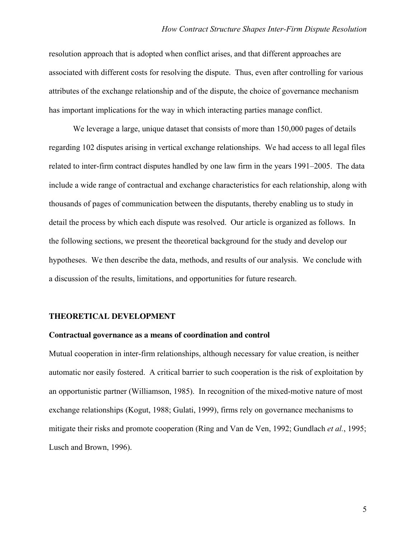resolution approach that is adopted when conflict arises, and that different approaches are associated with different costs for resolving the dispute. Thus, even after controlling for various attributes of the exchange relationship and of the dispute, the choice of governance mechanism has important implications for the way in which interacting parties manage conflict.

We leverage a large, unique dataset that consists of more than 150,000 pages of details regarding 102 disputes arising in vertical exchange relationships. We had access to all legal files related to inter-firm contract disputes handled by one law firm in the years 1991–2005. The data include a wide range of contractual and exchange characteristics for each relationship, along with thousands of pages of communication between the disputants, thereby enabling us to study in detail the process by which each dispute was resolved. Our article is organized as follows. In the following sections, we present the theoretical background for the study and develop our hypotheses. We then describe the data, methods, and results of our analysis. We conclude with a discussion of the results, limitations, and opportunities for future research.

#### **THEORETICAL DEVELOPMENT**

#### **Contractual governance as a means of coordination and control**

Mutual cooperation in inter-firm relationships, although necessary for value creation, is neither automatic nor easily fostered. A critical barrier to such cooperation is the risk of exploitation by an opportunistic partner (Williamson, 1985). In recognition of the mixed-motive nature of most exchange relationships (Kogut, 1988; Gulati, 1999), firms rely on governance mechanisms to mitigate their risks and promote cooperation (Ring and Van de Ven, 1992; Gundlach *et al.*, 1995; Lusch and Brown, 1996).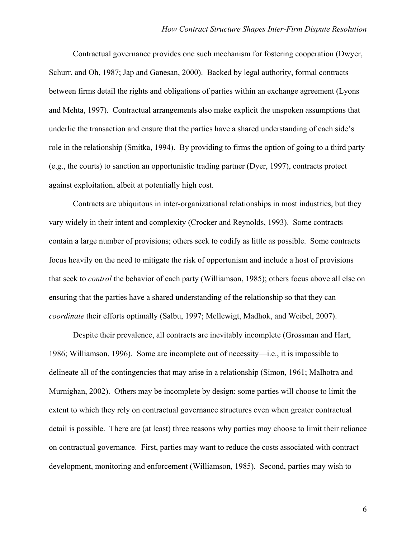Contractual governance provides one such mechanism for fostering cooperation (Dwyer, Schurr, and Oh, 1987; Jap and Ganesan, 2000). Backed by legal authority, formal contracts between firms detail the rights and obligations of parties within an exchange agreement (Lyons and Mehta, 1997). Contractual arrangements also make explicit the unspoken assumptions that underlie the transaction and ensure that the parties have a shared understanding of each side's role in the relationship (Smitka, 1994). By providing to firms the option of going to a third party (e.g., the courts) to sanction an opportunistic trading partner (Dyer, 1997), contracts protect against exploitation, albeit at potentially high cost.

Contracts are ubiquitous in inter-organizational relationships in most industries, but they vary widely in their intent and complexity (Crocker and Reynolds, 1993). Some contracts contain a large number of provisions; others seek to codify as little as possible. Some contracts focus heavily on the need to mitigate the risk of opportunism and include a host of provisions that seek to *control* the behavior of each party (Williamson, 1985); others focus above all else on ensuring that the parties have a shared understanding of the relationship so that they can *coordinate* their efforts optimally (Salbu, 1997; Mellewigt, Madhok, and Weibel, 2007).

Despite their prevalence, all contracts are inevitably incomplete (Grossman and Hart, 1986; Williamson, 1996). Some are incomplete out of necessity—i.e., it is impossible to delineate all of the contingencies that may arise in a relationship (Simon, 1961; Malhotra and Murnighan, 2002). Others may be incomplete by design: some parties will choose to limit the extent to which they rely on contractual governance structures even when greater contractual detail is possible. There are (at least) three reasons why parties may choose to limit their reliance on contractual governance. First, parties may want to reduce the costs associated with contract development, monitoring and enforcement (Williamson, 1985). Second, parties may wish to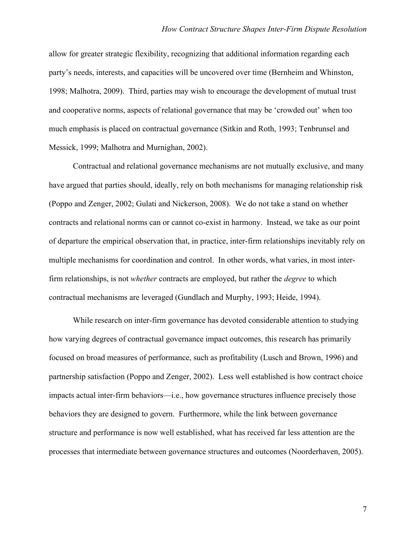allow for greater strategic flexibility, recognizing that additional information regarding each party's needs, interests, and capacities will be uncovered over time (Bernheim and Whinston, 1998; Malhotra, 2009). Third, parties may wish to encourage the development of mutual trust and cooperative norms, aspects of relational governance that may be 'crowded out' when too much emphasis is placed on contractual governance (Sitkin and Roth, 1993; Tenbrunsel and Messick, 1999; Malhotra and Murnighan, 2002).

Contractual and relational governance mechanisms are not mutually exclusive, and many have argued that parties should, ideally, rely on both mechanisms for managing relationship risk (Poppo and Zenger, 2002; Gulati and Nickerson, 2008). We do not take a stand on whether contracts and relational norms can or cannot co-exist in harmony. Instead, we take as our point of departure the empirical observation that, in practice, inter-firm relationships inevitably rely on multiple mechanisms for coordination and control. In other words, what varies, in most interfirm relationships, is not *whether* contracts are employed, but rather the *degree* to which contractual mechanisms are leveraged (Gundlach and Murphy, 1993; Heide, 1994).

While research on inter-firm governance has devoted considerable attention to studying how varying degrees of contractual governance impact outcomes, this research has primarily focused on broad measures of performance, such as profitability (Lusch and Brown, 1996) and partnership satisfaction (Poppo and Zenger, 2002). Less well established is how contract choice impacts actual inter-firm behaviors—i.e., how governance structures influence precisely those behaviors they are designed to govern. Furthermore, while the link between governance structure and performance is now well established, what has received far less attention are the processes that intermediate between governance structures and outcomes (Noorderhaven, 2005).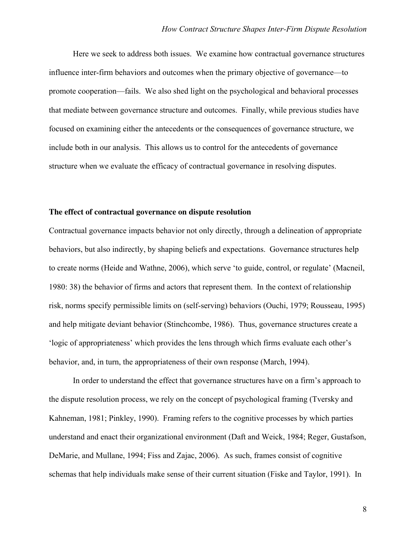Here we seek to address both issues. We examine how contractual governance structures influence inter-firm behaviors and outcomes when the primary objective of governance—to promote cooperation—fails. We also shed light on the psychological and behavioral processes that mediate between governance structure and outcomes. Finally, while previous studies have focused on examining either the antecedents or the consequences of governance structure, we include both in our analysis. This allows us to control for the antecedents of governance structure when we evaluate the efficacy of contractual governance in resolving disputes.

#### **The effect of contractual governance on dispute resolution**

Contractual governance impacts behavior not only directly, through a delineation of appropriate behaviors, but also indirectly, by shaping beliefs and expectations. Governance structures help to create norms (Heide and Wathne, 2006), which serve 'to guide, control, or regulate' (Macneil, 1980: 38) the behavior of firms and actors that represent them. In the context of relationship risk, norms specify permissible limits on (self-serving) behaviors (Ouchi, 1979; Rousseau, 1995) and help mitigate deviant behavior (Stinchcombe, 1986). Thus, governance structures create a 'logic of appropriateness' which provides the lens through which firms evaluate each other's behavior, and, in turn, the appropriateness of their own response (March, 1994).

In order to understand the effect that governance structures have on a firm's approach to the dispute resolution process, we rely on the concept of psychological framing (Tversky and Kahneman, 1981; Pinkley, 1990). Framing refers to the cognitive processes by which parties understand and enact their organizational environment (Daft and Weick, 1984; Reger, Gustafson, DeMarie, and Mullane, 1994; Fiss and Zajac, 2006). As such, frames consist of cognitive schemas that help individuals make sense of their current situation (Fiske and Taylor, 1991). In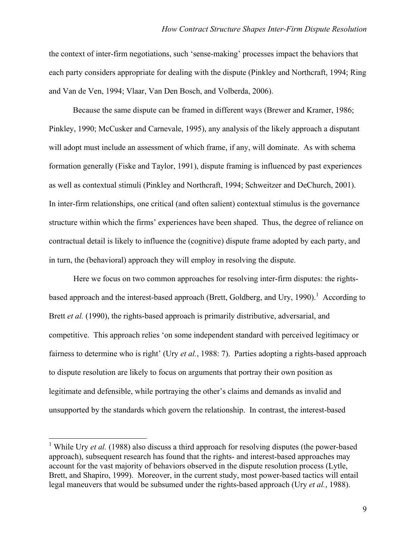the context of inter-firm negotiations, such 'sense-making' processes impact the behaviors that each party considers appropriate for dealing with the dispute (Pinkley and Northcraft, 1994; Ring and Van de Ven, 1994; Vlaar, Van Den Bosch, and Volberda, 2006).

Because the same dispute can be framed in different ways (Brewer and Kramer, 1986; Pinkley, 1990; McCusker and Carnevale, 1995), any analysis of the likely approach a disputant will adopt must include an assessment of which frame, if any, will dominate. As with schema formation generally (Fiske and Taylor, 1991), dispute framing is influenced by past experiences as well as contextual stimuli (Pinkley and Northcraft, 1994; Schweitzer and DeChurch, 2001). In inter-firm relationships, one critical (and often salient) contextual stimulus is the governance structure within which the firms' experiences have been shaped. Thus, the degree of reliance on contractual detail is likely to influence the (cognitive) dispute frame adopted by each party, and in turn, the (behavioral) approach they will employ in resolving the dispute.

Here we focus on two common approaches for resolving inter-firm disputes: the rightsbased approach and the interest-based approach (Brett, Goldberg, and Ury, 1990).<sup>1</sup> According to Brett *et al.* (1990), the rights-based approach is primarily distributive, adversarial, and competitive. This approach relies 'on some independent standard with perceived legitimacy or fairness to determine who is right' (Ury *et al.*, 1988: 7). Parties adopting a rights-based approach to dispute resolution are likely to focus on arguments that portray their own position as legitimate and defensible, while portraying the other's claims and demands as invalid and unsupported by the standards which govern the relationship. In contrast, the interest-based

<sup>&</sup>lt;sup>1</sup> While Ury *et al.* (1988) also discuss a third approach for resolving disputes (the power-based approach), subsequent research has found that the rights- and interest-based approaches may account for the vast majority of behaviors observed in the dispute resolution process (Lytle, Brett, and Shapiro, 1999). Moreover, in the current study, most power-based tactics will entail legal maneuvers that would be subsumed under the rights-based approach (Ury *et al.*, 1988).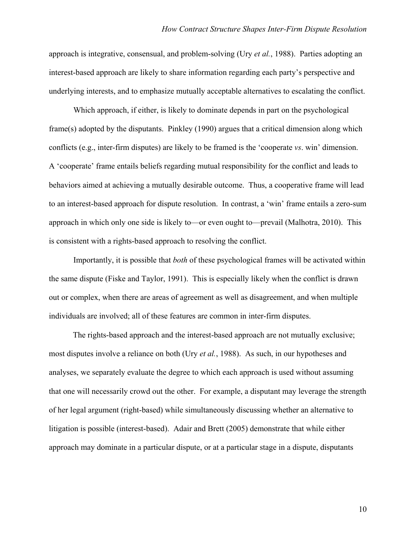approach is integrative, consensual, and problem-solving (Ury *et al.*, 1988). Parties adopting an interest-based approach are likely to share information regarding each party's perspective and underlying interests, and to emphasize mutually acceptable alternatives to escalating the conflict.

Which approach, if either, is likely to dominate depends in part on the psychological frame(s) adopted by the disputants. Pinkley (1990) argues that a critical dimension along which conflicts (e.g., inter-firm disputes) are likely to be framed is the 'cooperate *vs*. win' dimension. A 'cooperate' frame entails beliefs regarding mutual responsibility for the conflict and leads to behaviors aimed at achieving a mutually desirable outcome. Thus, a cooperative frame will lead to an interest-based approach for dispute resolution. In contrast, a 'win' frame entails a zero-sum approach in which only one side is likely to—or even ought to—prevail (Malhotra, 2010). This is consistent with a rights-based approach to resolving the conflict.

Importantly, it is possible that *both* of these psychological frames will be activated within the same dispute (Fiske and Taylor, 1991). This is especially likely when the conflict is drawn out or complex, when there are areas of agreement as well as disagreement, and when multiple individuals are involved; all of these features are common in inter-firm disputes.

The rights-based approach and the interest-based approach are not mutually exclusive; most disputes involve a reliance on both (Ury *et al.*, 1988). As such, in our hypotheses and analyses, we separately evaluate the degree to which each approach is used without assuming that one will necessarily crowd out the other. For example, a disputant may leverage the strength of her legal argument (right-based) while simultaneously discussing whether an alternative to litigation is possible (interest-based). Adair and Brett (2005) demonstrate that while either approach may dominate in a particular dispute, or at a particular stage in a dispute, disputants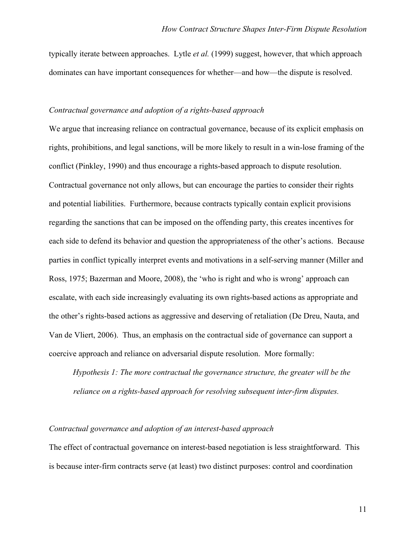typically iterate between approaches. Lytle *et al.* (1999) suggest, however, that which approach dominates can have important consequences for whether—and how—the dispute is resolved.

#### *Contractual governance and adoption of a rights-based approach*

We argue that increasing reliance on contractual governance, because of its explicit emphasis on rights, prohibitions, and legal sanctions, will be more likely to result in a win-lose framing of the conflict (Pinkley, 1990) and thus encourage a rights-based approach to dispute resolution. Contractual governance not only allows, but can encourage the parties to consider their rights and potential liabilities. Furthermore, because contracts typically contain explicit provisions regarding the sanctions that can be imposed on the offending party, this creates incentives for each side to defend its behavior and question the appropriateness of the other's actions. Because parties in conflict typically interpret events and motivations in a self-serving manner (Miller and Ross, 1975; Bazerman and Moore, 2008), the 'who is right and who is wrong' approach can escalate, with each side increasingly evaluating its own rights-based actions as appropriate and the other's rights-based actions as aggressive and deserving of retaliation (De Dreu, Nauta, and Van de Vliert, 2006). Thus, an emphasis on the contractual side of governance can support a coercive approach and reliance on adversarial dispute resolution. More formally:

*Hypothesis 1: The more contractual the governance structure, the greater will be the reliance on a rights-based approach for resolving subsequent inter-firm disputes.* 

#### *Contractual governance and adoption of an interest-based approach*

The effect of contractual governance on interest-based negotiation is less straightforward. This is because inter-firm contracts serve (at least) two distinct purposes: control and coordination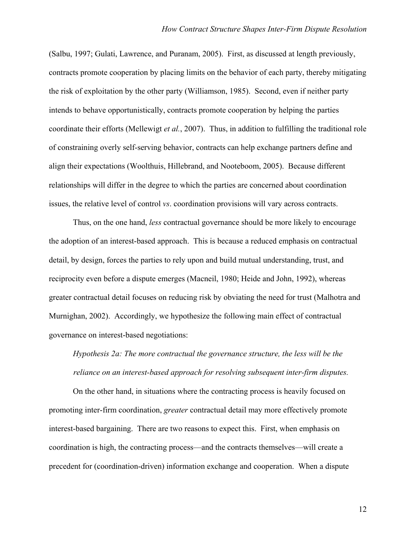(Salbu, 1997; Gulati, Lawrence, and Puranam, 2005). First, as discussed at length previously, contracts promote cooperation by placing limits on the behavior of each party, thereby mitigating the risk of exploitation by the other party (Williamson, 1985). Second, even if neither party intends to behave opportunistically, contracts promote cooperation by helping the parties coordinate their efforts (Mellewigt *et al.*, 2007). Thus, in addition to fulfilling the traditional role of constraining overly self-serving behavior, contracts can help exchange partners define and align their expectations (Woolthuis, Hillebrand, and Nooteboom, 2005). Because different relationships will differ in the degree to which the parties are concerned about coordination issues, the relative level of control *vs*. coordination provisions will vary across contracts.

Thus, on the one hand, *less* contractual governance should be more likely to encourage the adoption of an interest-based approach. This is because a reduced emphasis on contractual detail, by design, forces the parties to rely upon and build mutual understanding, trust, and reciprocity even before a dispute emerges (Macneil, 1980; Heide and John, 1992), whereas greater contractual detail focuses on reducing risk by obviating the need for trust (Malhotra and Murnighan, 2002). Accordingly, we hypothesize the following main effect of contractual governance on interest-based negotiations:

*Hypothesis 2a: The more contractual the governance structure, the less will be the reliance on an interest-based approach for resolving subsequent inter-firm disputes.* 

On the other hand, in situations where the contracting process is heavily focused on promoting inter-firm coordination, *greater* contractual detail may more effectively promote interest-based bargaining. There are two reasons to expect this. First, when emphasis on coordination is high, the contracting process—and the contracts themselves—will create a precedent for (coordination-driven) information exchange and cooperation. When a dispute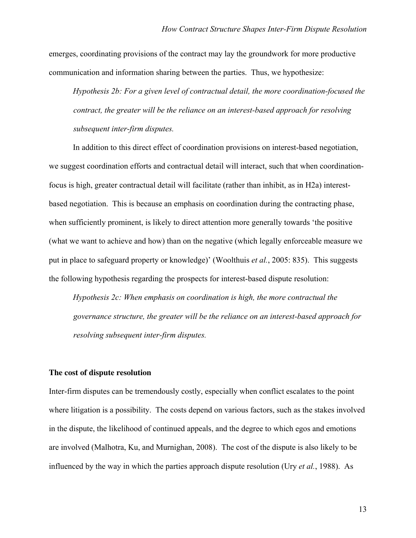emerges, coordinating provisions of the contract may lay the groundwork for more productive communication and information sharing between the parties. Thus, we hypothesize:

*Hypothesis 2b: For a given level of contractual detail, the more coordination-focused the contract, the greater will be the reliance on an interest-based approach for resolving subsequent inter-firm disputes.*

In addition to this direct effect of coordination provisions on interest-based negotiation, we suggest coordination efforts and contractual detail will interact, such that when coordinationfocus is high, greater contractual detail will facilitate (rather than inhibit, as in H2a) interestbased negotiation. This is because an emphasis on coordination during the contracting phase, when sufficiently prominent, is likely to direct attention more generally towards 'the positive (what we want to achieve and how) than on the negative (which legally enforceable measure we put in place to safeguard property or knowledge)' (Woolthuis *et al.*, 2005: 835). This suggests the following hypothesis regarding the prospects for interest-based dispute resolution:

*Hypothesis 2c: When emphasis on coordination is high, the more contractual the governance structure, the greater will be the reliance on an interest-based approach for resolving subsequent inter-firm disputes.* 

#### **The cost of dispute resolution**

Inter-firm disputes can be tremendously costly, especially when conflict escalates to the point where litigation is a possibility. The costs depend on various factors, such as the stakes involved in the dispute, the likelihood of continued appeals, and the degree to which egos and emotions are involved (Malhotra, Ku, and Murnighan, 2008). The cost of the dispute is also likely to be influenced by the way in which the parties approach dispute resolution (Ury *et al.*, 1988). As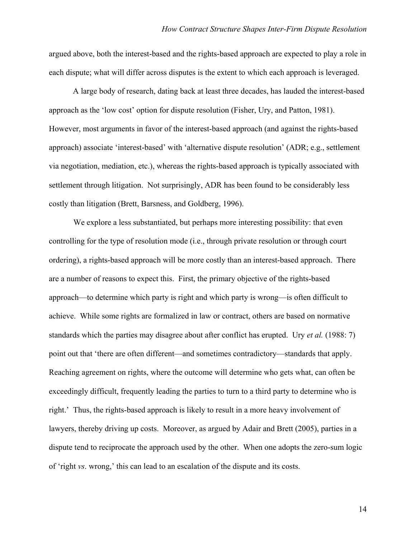argued above, both the interest-based and the rights-based approach are expected to play a role in each dispute; what will differ across disputes is the extent to which each approach is leveraged.

A large body of research, dating back at least three decades, has lauded the interest-based approach as the 'low cost' option for dispute resolution (Fisher, Ury, and Patton, 1981). However, most arguments in favor of the interest-based approach (and against the rights-based approach) associate 'interest-based' with 'alternative dispute resolution' (ADR; e.g., settlement via negotiation, mediation, etc.), whereas the rights-based approach is typically associated with settlement through litigation. Not surprisingly, ADR has been found to be considerably less costly than litigation (Brett, Barsness, and Goldberg, 1996).

We explore a less substantiated, but perhaps more interesting possibility: that even controlling for the type of resolution mode (i.e., through private resolution or through court ordering), a rights-based approach will be more costly than an interest-based approach. There are a number of reasons to expect this. First, the primary objective of the rights-based approach—to determine which party is right and which party is wrong—is often difficult to achieve. While some rights are formalized in law or contract, others are based on normative standards which the parties may disagree about after conflict has erupted. Ury *et al.* (1988: 7) point out that 'there are often different—and sometimes contradictory—standards that apply. Reaching agreement on rights, where the outcome will determine who gets what, can often be exceedingly difficult, frequently leading the parties to turn to a third party to determine who is right.' Thus, the rights-based approach is likely to result in a more heavy involvement of lawyers, thereby driving up costs. Moreover, as argued by Adair and Brett (2005), parties in a dispute tend to reciprocate the approach used by the other. When one adopts the zero-sum logic of 'right *vs*. wrong,' this can lead to an escalation of the dispute and its costs.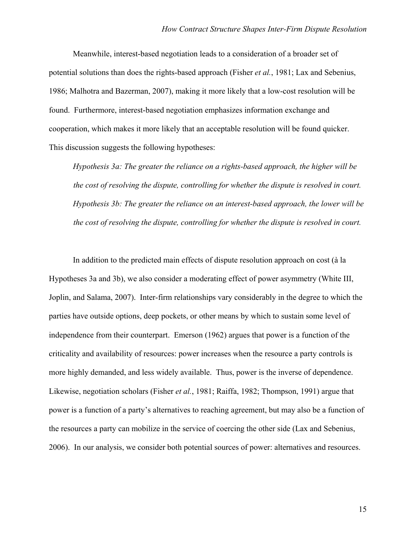Meanwhile, interest-based negotiation leads to a consideration of a broader set of potential solutions than does the rights-based approach (Fisher *et al.*, 1981; Lax and Sebenius, 1986; Malhotra and Bazerman, 2007), making it more likely that a low-cost resolution will be found. Furthermore, interest-based negotiation emphasizes information exchange and cooperation, which makes it more likely that an acceptable resolution will be found quicker. This discussion suggests the following hypotheses:

*Hypothesis 3a: The greater the reliance on a rights-based approach, the higher will be the cost of resolving the dispute, controlling for whether the dispute is resolved in court. Hypothesis 3b: The greater the reliance on an interest-based approach, the lower will be the cost of resolving the dispute, controlling for whether the dispute is resolved in court.* 

In addition to the predicted main effects of dispute resolution approach on cost (à la Hypotheses 3a and 3b), we also consider a moderating effect of power asymmetry (White III, Joplin, and Salama, 2007). Inter-firm relationships vary considerably in the degree to which the parties have outside options, deep pockets, or other means by which to sustain some level of independence from their counterpart. Emerson (1962) argues that power is a function of the criticality and availability of resources: power increases when the resource a party controls is more highly demanded, and less widely available. Thus, power is the inverse of dependence. Likewise, negotiation scholars (Fisher *et al.*, 1981; Raiffa, 1982; Thompson, 1991) argue that power is a function of a party's alternatives to reaching agreement, but may also be a function of the resources a party can mobilize in the service of coercing the other side (Lax and Sebenius, 2006). In our analysis, we consider both potential sources of power: alternatives and resources.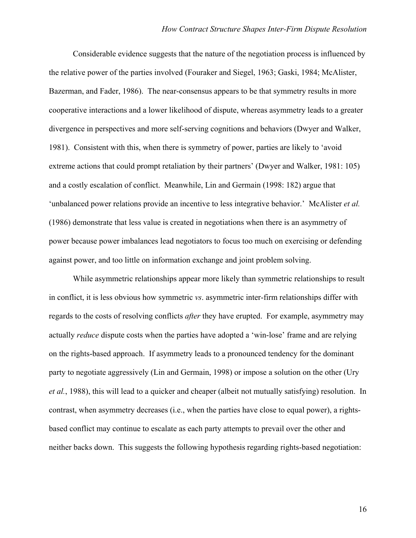Considerable evidence suggests that the nature of the negotiation process is influenced by the relative power of the parties involved (Fouraker and Siegel, 1963; Gaski, 1984; McAlister, Bazerman, and Fader, 1986). The near-consensus appears to be that symmetry results in more cooperative interactions and a lower likelihood of dispute, whereas asymmetry leads to a greater divergence in perspectives and more self-serving cognitions and behaviors (Dwyer and Walker, 1981). Consistent with this, when there is symmetry of power, parties are likely to 'avoid extreme actions that could prompt retaliation by their partners' (Dwyer and Walker, 1981: 105) and a costly escalation of conflict. Meanwhile, Lin and Germain (1998: 182) argue that 'unbalanced power relations provide an incentive to less integrative behavior.' McAlister *et al.* (1986) demonstrate that less value is created in negotiations when there is an asymmetry of power because power imbalances lead negotiators to focus too much on exercising or defending against power, and too little on information exchange and joint problem solving.

While asymmetric relationships appear more likely than symmetric relationships to result in conflict, it is less obvious how symmetric *vs*. asymmetric inter-firm relationships differ with regards to the costs of resolving conflicts *after* they have erupted. For example, asymmetry may actually *reduce* dispute costs when the parties have adopted a 'win-lose' frame and are relying on the rights-based approach. If asymmetry leads to a pronounced tendency for the dominant party to negotiate aggressively (Lin and Germain, 1998) or impose a solution on the other (Ury *et al.*, 1988), this will lead to a quicker and cheaper (albeit not mutually satisfying) resolution. In contrast, when asymmetry decreases (i.e., when the parties have close to equal power), a rightsbased conflict may continue to escalate as each party attempts to prevail over the other and neither backs down. This suggests the following hypothesis regarding rights-based negotiation: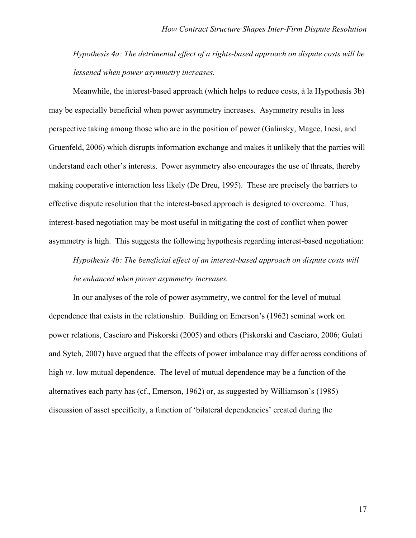*Hypothesis 4a: The detrimental effect of a rights-based approach on dispute costs will be lessened when power asymmetry increases.*

Meanwhile, the interest-based approach (which helps to reduce costs, à la Hypothesis 3b) may be especially beneficial when power asymmetry increases. Asymmetry results in less perspective taking among those who are in the position of power (Galinsky, Magee, Inesi, and Gruenfeld, 2006) which disrupts information exchange and makes it unlikely that the parties will understand each other's interests. Power asymmetry also encourages the use of threats, thereby making cooperative interaction less likely (De Dreu, 1995). These are precisely the barriers to effective dispute resolution that the interest-based approach is designed to overcome. Thus, interest-based negotiation may be most useful in mitigating the cost of conflict when power asymmetry is high. This suggests the following hypothesis regarding interest-based negotiation:

*Hypothesis 4b: The beneficial effect of an interest-based approach on dispute costs will be enhanced when power asymmetry increases.* 

In our analyses of the role of power asymmetry, we control for the level of mutual dependence that exists in the relationship. Building on Emerson's (1962) seminal work on power relations, Casciaro and Piskorski (2005) and others (Piskorski and Casciaro, 2006; Gulati and Sytch, 2007) have argued that the effects of power imbalance may differ across conditions of high *vs*. low mutual dependence. The level of mutual dependence may be a function of the alternatives each party has (cf., Emerson, 1962) or, as suggested by Williamson's (1985) discussion of asset specificity, a function of 'bilateral dependencies' created during the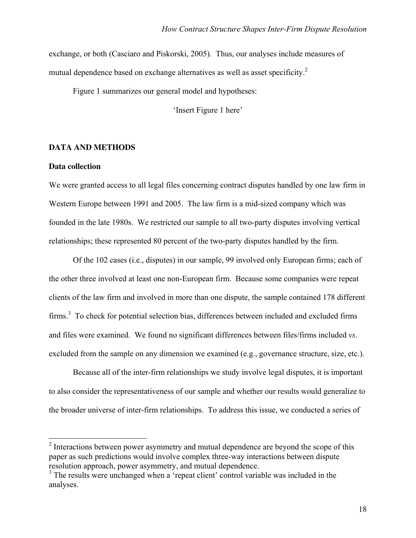exchange, or both (Casciaro and Piskorski, 2005). Thus, our analyses include measures of mutual dependence based on exchange alternatives as well as asset specificity.<sup>2</sup>

Figure 1 summarizes our general model and hypotheses:

'Insert Figure 1 here'

#### **DATA AND METHODS**

#### **Data collection**

We were granted access to all legal files concerning contract disputes handled by one law firm in Western Europe between 1991 and 2005. The law firm is a mid-sized company which was founded in the late 1980s. We restricted our sample to all two-party disputes involving vertical relationships; these represented 80 percent of the two-party disputes handled by the firm.

Of the 102 cases (i.e., disputes) in our sample, 99 involved only European firms; each of the other three involved at least one non-European firm. Because some companies were repeat clients of the law firm and involved in more than one dispute, the sample contained 178 different firms.<sup>3</sup> To check for potential selection bias, differences between included and excluded firms and files were examined. We found no significant differences between files/firms included *vs*. excluded from the sample on any dimension we examined (e.g., governance structure, size, etc.).

Because all of the inter-firm relationships we study involve legal disputes, it is important to also consider the representativeness of our sample and whether our results would generalize to the broader universe of inter-firm relationships. To address this issue, we conducted a series of

<sup>&</sup>lt;sup>2</sup> Interactions between power asymmetry and mutual dependence are beyond the scope of this paper as such predictions would involve complex three-way interactions between dispute resolution approach, power asymmetry, and mutual dependence.

<sup>&</sup>lt;sup>3</sup> The results were unchanged when a 'repeat client' control variable was included in the analyses.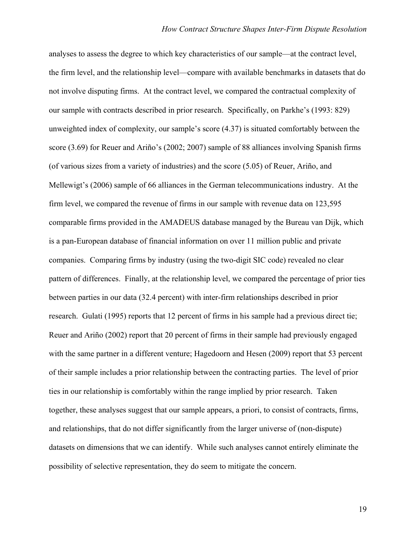analyses to assess the degree to which key characteristics of our sample—at the contract level, the firm level, and the relationship level—compare with available benchmarks in datasets that do not involve disputing firms. At the contract level, we compared the contractual complexity of our sample with contracts described in prior research. Specifically, on Parkhe's (1993: 829) unweighted index of complexity, our sample's score (4.37) is situated comfortably between the score (3.69) for Reuer and Ariño's (2002; 2007) sample of 88 alliances involving Spanish firms (of various sizes from a variety of industries) and the score (5.05) of Reuer, Ariño, and Mellewigt's (2006) sample of 66 alliances in the German telecommunications industry. At the firm level, we compared the revenue of firms in our sample with revenue data on 123,595 comparable firms provided in the AMADEUS database managed by the Bureau van Dijk, which is a pan-European database of financial information on over 11 million public and private companies. Comparing firms by industry (using the two-digit SIC code) revealed no clear pattern of differences. Finally, at the relationship level, we compared the percentage of prior ties between parties in our data (32.4 percent) with inter-firm relationships described in prior research. Gulati (1995) reports that 12 percent of firms in his sample had a previous direct tie; Reuer and Ariño (2002) report that 20 percent of firms in their sample had previously engaged with the same partner in a different venture; Hagedoorn and Hesen (2009) report that 53 percent of their sample includes a prior relationship between the contracting parties. The level of prior ties in our relationship is comfortably within the range implied by prior research. Taken together, these analyses suggest that our sample appears, a priori, to consist of contracts, firms, and relationships, that do not differ significantly from the larger universe of (non-dispute) datasets on dimensions that we can identify. While such analyses cannot entirely eliminate the possibility of selective representation, they do seem to mitigate the concern.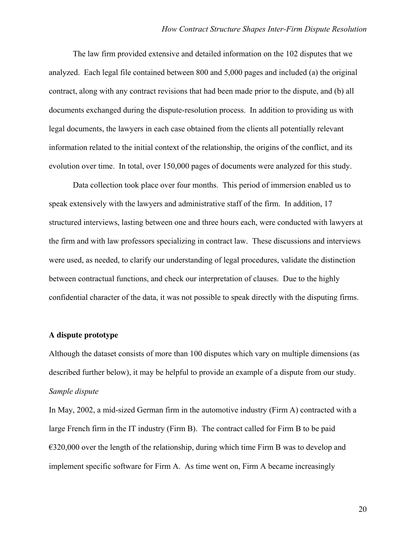The law firm provided extensive and detailed information on the 102 disputes that we analyzed. Each legal file contained between 800 and 5,000 pages and included (a) the original contract, along with any contract revisions that had been made prior to the dispute, and (b) all documents exchanged during the dispute-resolution process. In addition to providing us with legal documents, the lawyers in each case obtained from the clients all potentially relevant information related to the initial context of the relationship, the origins of the conflict, and its evolution over time. In total, over 150,000 pages of documents were analyzed for this study.

Data collection took place over four months. This period of immersion enabled us to speak extensively with the lawyers and administrative staff of the firm. In addition, 17 structured interviews, lasting between one and three hours each, were conducted with lawyers at the firm and with law professors specializing in contract law. These discussions and interviews were used, as needed, to clarify our understanding of legal procedures, validate the distinction between contractual functions, and check our interpretation of clauses. Due to the highly confidential character of the data, it was not possible to speak directly with the disputing firms.

#### **A dispute prototype**

Although the dataset consists of more than 100 disputes which vary on multiple dimensions (as described further below), it may be helpful to provide an example of a dispute from our study. *Sample dispute*

In May, 2002, a mid-sized German firm in the automotive industry (Firm A) contracted with a large French firm in the IT industry (Firm B). The contract called for Firm B to be paid  $\epsilon$ 320,000 over the length of the relationship, during which time Firm B was to develop and implement specific software for Firm A. As time went on, Firm A became increasingly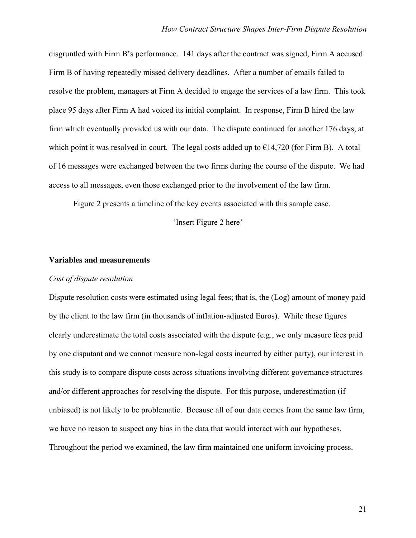disgruntled with Firm B's performance. 141 days after the contract was signed, Firm A accused Firm B of having repeatedly missed delivery deadlines. After a number of emails failed to resolve the problem, managers at Firm A decided to engage the services of a law firm. This took place 95 days after Firm A had voiced its initial complaint. In response, Firm B hired the law firm which eventually provided us with our data. The dispute continued for another 176 days, at which point it was resolved in court. The legal costs added up to  $\epsilon$ 14,720 (for Firm B). A total of 16 messages were exchanged between the two firms during the course of the dispute. We had access to all messages, even those exchanged prior to the involvement of the law firm.

Figure 2 presents a timeline of the key events associated with this sample case.

'Insert Figure 2 here'

#### **Variables and measurements**

#### *Cost of dispute resolution*

Dispute resolution costs were estimated using legal fees; that is, the (Log) amount of money paid by the client to the law firm (in thousands of inflation-adjusted Euros). While these figures clearly underestimate the total costs associated with the dispute (e.g., we only measure fees paid by one disputant and we cannot measure non-legal costs incurred by either party), our interest in this study is to compare dispute costs across situations involving different governance structures and/or different approaches for resolving the dispute. For this purpose, underestimation (if unbiased) is not likely to be problematic. Because all of our data comes from the same law firm, we have no reason to suspect any bias in the data that would interact with our hypotheses. Throughout the period we examined, the law firm maintained one uniform invoicing process.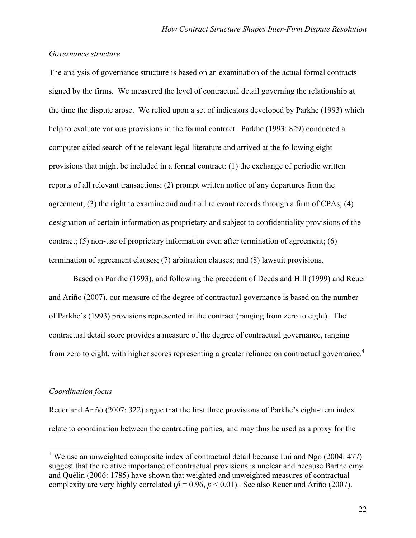#### *Governance structure*

The analysis of governance structure is based on an examination of the actual formal contracts signed by the firms. We measured the level of contractual detail governing the relationship at the time the dispute arose. We relied upon a set of indicators developed by Parkhe (1993) which help to evaluate various provisions in the formal contract. Parkhe (1993: 829) conducted a computer-aided search of the relevant legal literature and arrived at the following eight provisions that might be included in a formal contract: (1) the exchange of periodic written reports of all relevant transactions; (2) prompt written notice of any departures from the agreement; (3) the right to examine and audit all relevant records through a firm of CPAs; (4) designation of certain information as proprietary and subject to confidentiality provisions of the contract; (5) non-use of proprietary information even after termination of agreement; (6) termination of agreement clauses; (7) arbitration clauses; and (8) lawsuit provisions.

Based on Parkhe (1993), and following the precedent of Deeds and Hill (1999) and Reuer and Ariño (2007), our measure of the degree of contractual governance is based on the number of Parkhe's (1993) provisions represented in the contract (ranging from zero to eight). The contractual detail score provides a measure of the degree of contractual governance, ranging from zero to eight, with higher scores representing a greater reliance on contractual governance.<sup>4</sup>

#### *Coordination focus*

-

Reuer and Ariño (2007: 322) argue that the first three provisions of Parkhe's eight-item index relate to coordination between the contracting parties, and may thus be used as a proxy for the

 $4$  We use an unweighted composite index of contractual detail because Lui and Ngo (2004: 477) suggest that the relative importance of contractual provisions is unclear and because Barthélemy and Quélin (2006: 1785) have shown that weighted and unweighted measures of contractual complexity are very highly correlated ( $\beta$  = 0.96,  $p$  < 0.01). See also Reuer and Ariño (2007).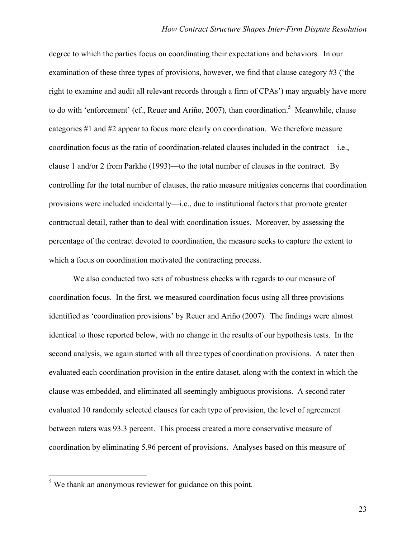degree to which the parties focus on coordinating their expectations and behaviors. In our examination of these three types of provisions, however, we find that clause category #3 ('the right to examine and audit all relevant records through a firm of CPAs') may arguably have more to do with 'enforcement' (cf., Reuer and Ariño, 2007), than coordination.<sup>5</sup> Meanwhile, clause categories #1 and #2 appear to focus more clearly on coordination. We therefore measure coordination focus as the ratio of coordination-related clauses included in the contract—i.e., clause 1 and/or 2 from Parkhe (1993)—to the total number of clauses in the contract. By controlling for the total number of clauses, the ratio measure mitigates concerns that coordination provisions were included incidentally—i.e., due to institutional factors that promote greater contractual detail, rather than to deal with coordination issues. Moreover, by assessing the percentage of the contract devoted to coordination, the measure seeks to capture the extent to which a focus on coordination motivated the contracting process.

We also conducted two sets of robustness checks with regards to our measure of coordination focus. In the first, we measured coordination focus using all three provisions identified as 'coordination provisions' by Reuer and Ariño (2007). The findings were almost identical to those reported below, with no change in the results of our hypothesis tests. In the second analysis, we again started with all three types of coordination provisions. A rater then evaluated each coordination provision in the entire dataset, along with the context in which the clause was embedded, and eliminated all seemingly ambiguous provisions. A second rater evaluated 10 randomly selected clauses for each type of provision, the level of agreement between raters was 93.3 percent. This process created a more conservative measure of coordination by eliminating 5.96 percent of provisions. Analyses based on this measure of

-

 $<sup>5</sup>$  We thank an anonymous reviewer for guidance on this point.</sup>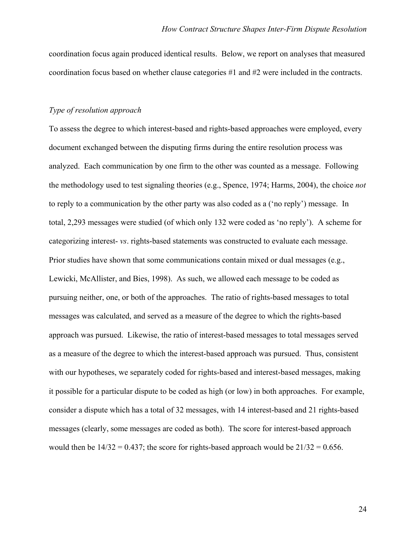coordination focus again produced identical results. Below, we report on analyses that measured coordination focus based on whether clause categories #1 and #2 were included in the contracts.

#### *Type of resolution approach*

To assess the degree to which interest-based and rights-based approaches were employed, every document exchanged between the disputing firms during the entire resolution process was analyzed. Each communication by one firm to the other was counted as a message. Following the methodology used to test signaling theories (e.g., Spence, 1974; Harms, 2004), the choice *not*  to reply to a communication by the other party was also coded as a ('no reply') message. In total, 2,293 messages were studied (of which only 132 were coded as 'no reply'). A scheme for categorizing interest- *vs*. rights-based statements was constructed to evaluate each message. Prior studies have shown that some communications contain mixed or dual messages (e.g., Lewicki, McAllister, and Bies, 1998). As such, we allowed each message to be coded as pursuing neither, one, or both of the approaches. The ratio of rights-based messages to total messages was calculated, and served as a measure of the degree to which the rights-based approach was pursued. Likewise, the ratio of interest-based messages to total messages served as a measure of the degree to which the interest-based approach was pursued. Thus, consistent with our hypotheses, we separately coded for rights-based and interest-based messages, making it possible for a particular dispute to be coded as high (or low) in both approaches. For example, consider a dispute which has a total of 32 messages, with 14 interest-based and 21 rights-based messages (clearly, some messages are coded as both). The score for interest-based approach would then be  $14/32 = 0.437$ ; the score for rights-based approach would be  $21/32 = 0.656$ .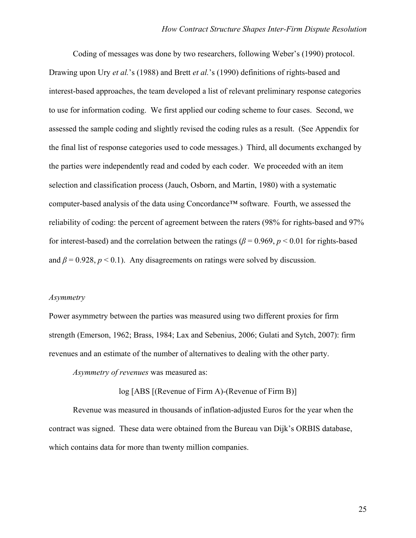Coding of messages was done by two researchers, following Weber's (1990) protocol. Drawing upon Ury *et al.*'s (1988) and Brett *et al.*'s (1990) definitions of rights-based and interest-based approaches, the team developed a list of relevant preliminary response categories to use for information coding. We first applied our coding scheme to four cases. Second, we assessed the sample coding and slightly revised the coding rules as a result. (See Appendix for the final list of response categories used to code messages.) Third, all documents exchanged by the parties were independently read and coded by each coder. We proceeded with an item selection and classification process (Jauch, Osborn, and Martin, 1980) with a systematic computer-based analysis of the data using Concordance™ software. Fourth, we assessed the reliability of coding: the percent of agreement between the raters (98% for rights-based and 97% for interest-based) and the correlation between the ratings ( $\beta$  = 0.969,  $p$  < 0.01 for rights-based and  $\beta$  = 0.928,  $p$  < 0.1). Any disagreements on ratings were solved by discussion.

#### *Asymmetry*

Power asymmetry between the parties was measured using two different proxies for firm strength (Emerson, 1962; Brass, 1984; Lax and Sebenius, 2006; Gulati and Sytch, 2007): firm revenues and an estimate of the number of alternatives to dealing with the other party.

*Asymmetry of revenues* was measured as:

log [ABS [(Revenue of Firm A)-(Revenue of Firm B)]

Revenue was measured in thousands of inflation-adjusted Euros for the year when the contract was signed. These data were obtained from the Bureau van Dijk's ORBIS database, which contains data for more than twenty million companies.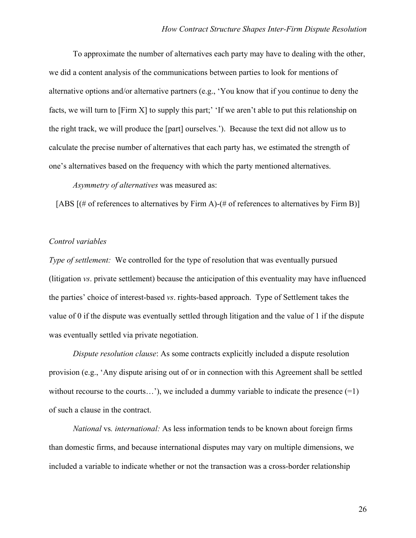To approximate the number of alternatives each party may have to dealing with the other, we did a content analysis of the communications between parties to look for mentions of alternative options and/or alternative partners (e.g., 'You know that if you continue to deny the facts, we will turn to [Firm X] to supply this part;' 'If we aren't able to put this relationship on the right track, we will produce the [part] ourselves.'). Because the text did not allow us to calculate the precise number of alternatives that each party has, we estimated the strength of one's alternatives based on the frequency with which the party mentioned alternatives.

*Asymmetry of alternatives* was measured as:

[ABS  $[(# of references to alternatives by Firm A)-(# of references to alternatives by Firm B)]$ 

#### *Control variables*

*Type of settlement:* We controlled for the type of resolution that was eventually pursued (litigation *vs*. private settlement) because the anticipation of this eventuality may have influenced the parties' choice of interest-based *vs*. rights-based approach. Type of Settlement takes the value of 0 if the dispute was eventually settled through litigation and the value of 1 if the dispute was eventually settled via private negotiation.

*Dispute resolution clause*: As some contracts explicitly included a dispute resolution provision (e.g., 'Any dispute arising out of or in connection with this Agreement shall be settled without recourse to the courts...'), we included a dummy variable to indicate the presence  $(=1)$ of such a clause in the contract.

*National* vs*. international:* As less information tends to be known about foreign firms than domestic firms, and because international disputes may vary on multiple dimensions, we included a variable to indicate whether or not the transaction was a cross-border relationship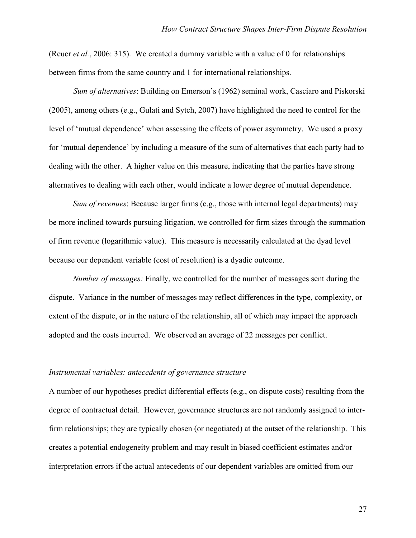(Reuer *et al.*, 2006: 315). We created a dummy variable with a value of 0 for relationships between firms from the same country and 1 for international relationships.

*Sum of alternatives*: Building on Emerson's (1962) seminal work, Casciaro and Piskorski (2005), among others (e.g., Gulati and Sytch, 2007) have highlighted the need to control for the level of 'mutual dependence' when assessing the effects of power asymmetry. We used a proxy for 'mutual dependence' by including a measure of the sum of alternatives that each party had to dealing with the other. A higher value on this measure, indicating that the parties have strong alternatives to dealing with each other, would indicate a lower degree of mutual dependence.

*Sum of revenues*: Because larger firms (e.g., those with internal legal departments) may be more inclined towards pursuing litigation, we controlled for firm sizes through the summation of firm revenue (logarithmic value). This measure is necessarily calculated at the dyad level because our dependent variable (cost of resolution) is a dyadic outcome.

*Number of messages:* Finally, we controlled for the number of messages sent during the dispute. Variance in the number of messages may reflect differences in the type, complexity, or extent of the dispute, or in the nature of the relationship, all of which may impact the approach adopted and the costs incurred. We observed an average of 22 messages per conflict.

#### *Instrumental variables: antecedents of governance structure*

A number of our hypotheses predict differential effects (e.g., on dispute costs) resulting from the degree of contractual detail. However, governance structures are not randomly assigned to interfirm relationships; they are typically chosen (or negotiated) at the outset of the relationship. This creates a potential endogeneity problem and may result in biased coefficient estimates and/or interpretation errors if the actual antecedents of our dependent variables are omitted from our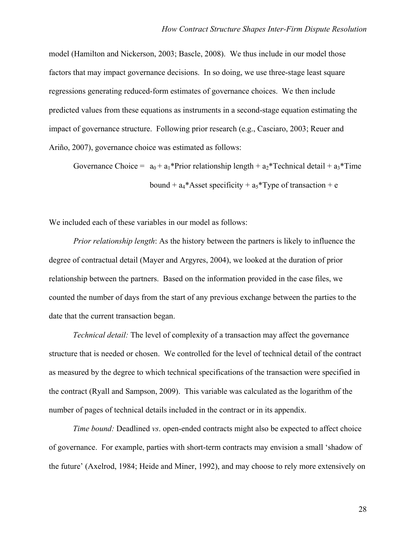model (Hamilton and Nickerson, 2003; Bascle, 2008). We thus include in our model those factors that may impact governance decisions. In so doing, we use three-stage least square regressions generating reduced-form estimates of governance choices. We then include predicted values from these equations as instruments in a second-stage equation estimating the impact of governance structure. Following prior research (e.g., Casciaro, 2003; Reuer and Ariño, 2007), governance choice was estimated as follows:

Governance Choice =  $a_0 + a_1*Prior$  relationship length +  $a_2*Technical$  detail +  $a_3*Time$ bound +  $a_4$ <sup>\*</sup>Asset specificity +  $a_5$ <sup>\*</sup>Type of transaction + e

We included each of these variables in our model as follows:

*Prior relationship length*: As the history between the partners is likely to influence the degree of contractual detail (Mayer and Argyres, 2004), we looked at the duration of prior relationship between the partners. Based on the information provided in the case files, we counted the number of days from the start of any previous exchange between the parties to the date that the current transaction began.

*Technical detail:* The level of complexity of a transaction may affect the governance structure that is needed or chosen. We controlled for the level of technical detail of the contract as measured by the degree to which technical specifications of the transaction were specified in the contract (Ryall and Sampson, 2009). This variable was calculated as the logarithm of the number of pages of technical details included in the contract or in its appendix.

*Time bound:* Deadlined *vs*. open-ended contracts might also be expected to affect choice of governance. For example, parties with short-term contracts may envision a small 'shadow of the future' (Axelrod, 1984; Heide and Miner, 1992), and may choose to rely more extensively on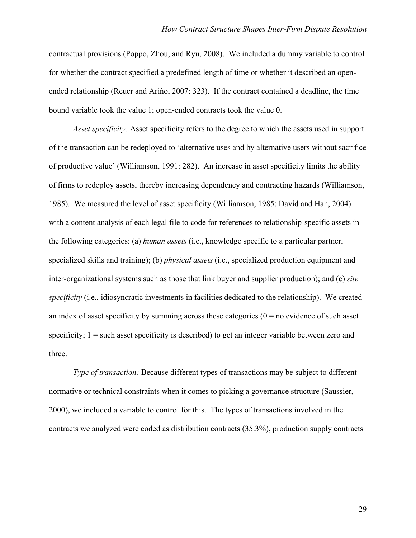contractual provisions (Poppo, Zhou, and Ryu, 2008). We included a dummy variable to control for whether the contract specified a predefined length of time or whether it described an openended relationship (Reuer and Ariño, 2007: 323). If the contract contained a deadline, the time bound variable took the value 1; open-ended contracts took the value 0.

*Asset specificity:* Asset specificity refers to the degree to which the assets used in support of the transaction can be redeployed to 'alternative uses and by alternative users without sacrifice of productive value' (Williamson, 1991: 282). An increase in asset specificity limits the ability of firms to redeploy assets, thereby increasing dependency and contracting hazards (Williamson, 1985). We measured the level of asset specificity (Williamson, 1985; David and Han, 2004) with a content analysis of each legal file to code for references to relationship-specific assets in the following categories: (a) *human assets* (i.e., knowledge specific to a particular partner, specialized skills and training); (b) *physical assets* (i.e., specialized production equipment and inter-organizational systems such as those that link buyer and supplier production); and (c) *site specificity* (i.e., idiosyncratic investments in facilities dedicated to the relationship). We created an index of asset specificity by summing across these categories  $(0 = no$  evidence of such asset specificity;  $1 =$  such asset specificity is described) to get an integer variable between zero and three.

*Type of transaction:* Because different types of transactions may be subject to different normative or technical constraints when it comes to picking a governance structure (Saussier, 2000), we included a variable to control for this. The types of transactions involved in the contracts we analyzed were coded as distribution contracts (35.3%), production supply contracts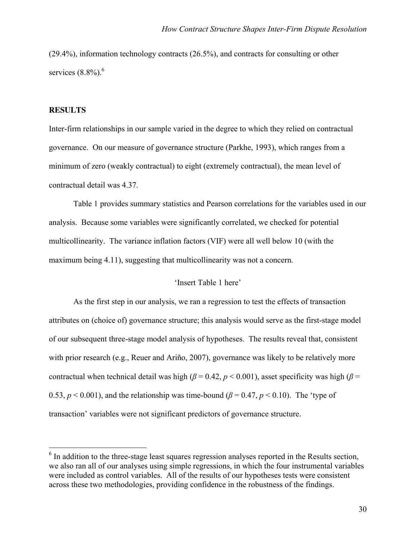(29.4%), information technology contracts (26.5%), and contracts for consulting or other services  $(8.8\%)$ .<sup>6</sup>

#### **RESULTS**

 $\overline{a}$ 

Inter-firm relationships in our sample varied in the degree to which they relied on contractual governance. On our measure of governance structure (Parkhe, 1993), which ranges from a minimum of zero (weakly contractual) to eight (extremely contractual), the mean level of contractual detail was 4.37.

Table 1 provides summary statistics and Pearson correlations for the variables used in our analysis. Because some variables were significantly correlated, we checked for potential multicollinearity. The variance inflation factors (VIF) were all well below 10 (with the maximum being 4.11), suggesting that multicollinearity was not a concern.

#### 'Insert Table 1 here'

As the first step in our analysis, we ran a regression to test the effects of transaction attributes on (choice of) governance structure; this analysis would serve as the first-stage model of our subsequent three-stage model analysis of hypotheses. The results reveal that, consistent with prior research (e.g., Reuer and Ariño, 2007), governance was likely to be relatively more contractual when technical detail was high ( $\beta$  = 0.42,  $p$  < 0.001), asset specificity was high ( $\beta$  = 0.53,  $p < 0.001$ ), and the relationship was time-bound ( $\beta = 0.47$ ,  $p < 0.10$ ). The 'type of transaction' variables were not significant predictors of governance structure.

<sup>&</sup>lt;sup>6</sup> In addition to the three-stage least squares regression analyses reported in the Results section, we also ran all of our analyses using simple regressions, in which the four instrumental variables were included as control variables. All of the results of our hypotheses tests were consistent across these two methodologies, providing confidence in the robustness of the findings.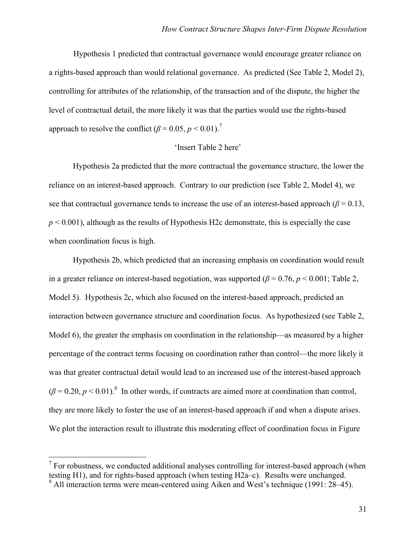Hypothesis 1 predicted that contractual governance would encourage greater reliance on a rights-based approach than would relational governance. As predicted (See Table 2, Model 2), controlling for attributes of the relationship, of the transaction and of the dispute, the higher the level of contractual detail, the more likely it was that the parties would use the rights-based approach to resolve the conflict  $(\beta = 0.05, p \le 0.01)^7$ 

#### 'Insert Table 2 here'

Hypothesis 2a predicted that the more contractual the governance structure, the lower the reliance on an interest-based approach. Contrary to our prediction (see Table 2, Model 4), we see that contractual governance tends to increase the use of an interest-based approach ( $\beta$  = 0.13,  $p < 0.001$ ), although as the results of Hypothesis H2c demonstrate, this is especially the case when coordination focus is high.

Hypothesis 2b, which predicted that an increasing emphasis on coordination would result in a greater reliance on interest-based negotiation, was supported  $(\beta = 0.76, p \le 0.001)$ ; Table 2, Model 5). Hypothesis 2c, which also focused on the interest-based approach, predicted an interaction between governance structure and coordination focus. As hypothesized (see Table 2, Model 6), the greater the emphasis on coordination in the relationship—as measured by a higher percentage of the contract terms focusing on coordination rather than control—the more likely it was that greater contractual detail would lead to an increased use of the interest-based approach  $(\beta = 0.20, p < 0.01)$ .<sup>8</sup> In other words, if contracts are aimed more at coordination than control, they are more likely to foster the use of an interest-based approach if and when a dispute arises. We plot the interaction result to illustrate this moderating effect of coordination focus in Figure

<sup>&</sup>lt;sup>7</sup> For robustness, we conducted additional analyses controlling for interest-based approach (when testing H1), and for rights-based approach (when testing H2a–c). Results were unchanged.

<sup>&</sup>lt;sup>8</sup> All interaction terms were mean-centered using Aiken and West's technique (1991: 28–45).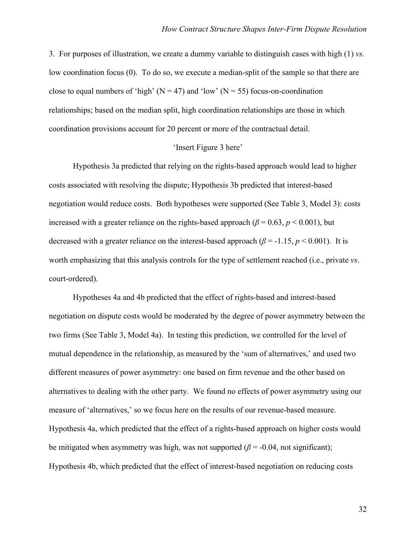3. For purposes of illustration, we create a dummy variable to distinguish cases with high (1) *vs*. low coordination focus (0). To do so, we execute a median-split of the sample so that there are close to equal numbers of 'high' ( $N = 47$ ) and 'low' ( $N = 55$ ) focus-on-coordination relationships; based on the median split, high coordination relationships are those in which coordination provisions account for 20 percent or more of the contractual detail.

#### 'Insert Figure 3 here'

Hypothesis 3a predicted that relying on the rights-based approach would lead to higher costs associated with resolving the dispute; Hypothesis 3b predicted that interest-based negotiation would reduce costs. Both hypotheses were supported (See Table 3, Model 3): costs increased with a greater reliance on the rights-based approach ( $\beta$  = 0.63,  $p$  < 0.001), but decreased with a greater reliance on the interest-based approach ( $\beta$  = -1.15, *p* < 0.001). It is worth emphasizing that this analysis controls for the type of settlement reached (i.e., private *vs*. court-ordered).

Hypotheses 4a and 4b predicted that the effect of rights-based and interest-based negotiation on dispute costs would be moderated by the degree of power asymmetry between the two firms (See Table 3, Model 4a). In testing this prediction, we controlled for the level of mutual dependence in the relationship, as measured by the 'sum of alternatives,' and used two different measures of power asymmetry: one based on firm revenue and the other based on alternatives to dealing with the other party. We found no effects of power asymmetry using our measure of 'alternatives,' so we focus here on the results of our revenue-based measure. Hypothesis 4a, which predicted that the effect of a rights-based approach on higher costs would be mitigated when asymmetry was high, was not supported ( $\beta$  = -0.04, not significant); Hypothesis 4b, which predicted that the effect of interest-based negotiation on reducing costs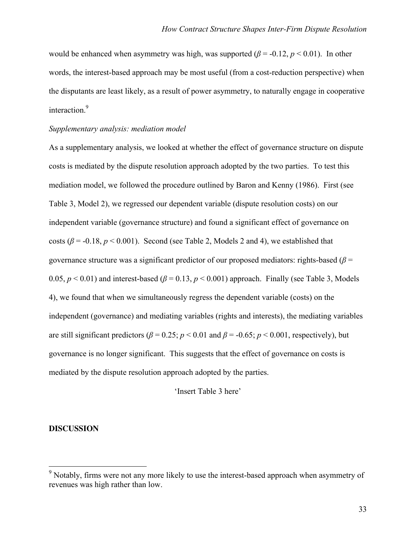would be enhanced when asymmetry was high, was supported ( $\beta$  = -0.12,  $p$  < 0.01). In other words, the interest-based approach may be most useful (from a cost-reduction perspective) when the disputants are least likely, as a result of power asymmetry, to naturally engage in cooperative interaction.<sup>9</sup>

#### *Supplementary analysis: mediation model*

As a supplementary analysis, we looked at whether the effect of governance structure on dispute costs is mediated by the dispute resolution approach adopted by the two parties. To test this mediation model, we followed the procedure outlined by Baron and Kenny (1986). First (see Table 3, Model 2), we regressed our dependent variable (dispute resolution costs) on our independent variable (governance structure) and found a significant effect of governance on costs ( $\beta$  = -0.18,  $p$  < 0.001). Second (see Table 2, Models 2 and 4), we established that governance structure was a significant predictor of our proposed mediators: rights-based (*β* = 0.05,  $p < 0.01$ ) and interest-based ( $\beta = 0.13$ ,  $p < 0.001$ ) approach. Finally (see Table 3, Models 4), we found that when we simultaneously regress the dependent variable (costs) on the independent (governance) and mediating variables (rights and interests), the mediating variables are still significant predictors ( $\beta$  = 0.25; *p* < 0.01 and  $\beta$  = -0.65; *p* < 0.001, respectively), but governance is no longer significant. This suggests that the effect of governance on costs is mediated by the dispute resolution approach adopted by the parties.

#### 'Insert Table 3 here'

#### **DISCUSSION**

 $\overline{a}$ 

<sup>&</sup>lt;sup>9</sup> Notably, firms were not any more likely to use the interest-based approach when asymmetry of revenues was high rather than low.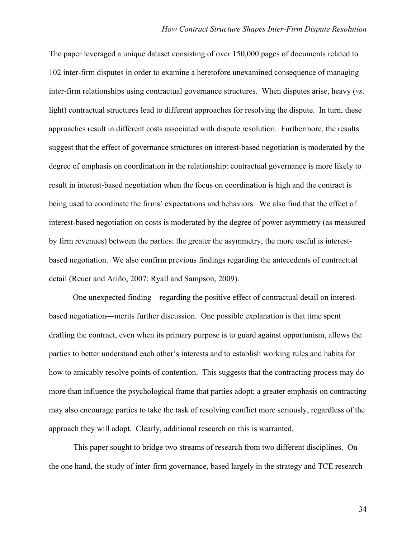The paper leveraged a unique dataset consisting of over 150,000 pages of documents related to 102 inter-firm disputes in order to examine a heretofore unexamined consequence of managing inter-firm relationships using contractual governance structures. When disputes arise, heavy (*vs*. light) contractual structures lead to different approaches for resolving the dispute. In turn, these approaches result in different costs associated with dispute resolution. Furthermore, the results suggest that the effect of governance structures on interest-based negotiation is moderated by the degree of emphasis on coordination in the relationship: contractual governance is more likely to result in interest-based negotiation when the focus on coordination is high and the contract is being used to coordinate the firms' expectations and behaviors. We also find that the effect of interest-based negotiation on costs is moderated by the degree of power asymmetry (as measured by firm revenues) between the parties: the greater the asymmetry, the more useful is interestbased negotiation. We also confirm previous findings regarding the antecedents of contractual detail (Reuer and Ariño, 2007; Ryall and Sampson, 2009).

One unexpected finding—regarding the positive effect of contractual detail on interestbased negotiation—merits further discussion. One possible explanation is that time spent drafting the contract, even when its primary purpose is to guard against opportunism, allows the parties to better understand each other's interests and to establish working rules and habits for how to amicably resolve points of contention. This suggests that the contracting process may do more than influence the psychological frame that parties adopt; a greater emphasis on contracting may also encourage parties to take the task of resolving conflict more seriously, regardless of the approach they will adopt. Clearly, additional research on this is warranted.

This paper sought to bridge two streams of research from two different disciplines. On the one hand, the study of inter-firm governance, based largely in the strategy and TCE research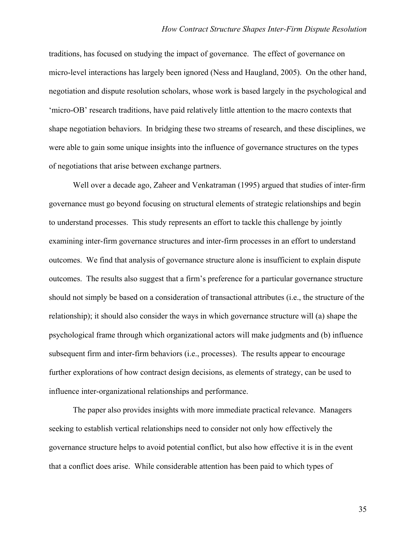traditions, has focused on studying the impact of governance. The effect of governance on micro-level interactions has largely been ignored (Ness and Haugland, 2005). On the other hand, negotiation and dispute resolution scholars, whose work is based largely in the psychological and 'micro-OB' research traditions, have paid relatively little attention to the macro contexts that shape negotiation behaviors. In bridging these two streams of research, and these disciplines, we were able to gain some unique insights into the influence of governance structures on the types of negotiations that arise between exchange partners.

Well over a decade ago, Zaheer and Venkatraman (1995) argued that studies of inter-firm governance must go beyond focusing on structural elements of strategic relationships and begin to understand processes. This study represents an effort to tackle this challenge by jointly examining inter-firm governance structures and inter-firm processes in an effort to understand outcomes. We find that analysis of governance structure alone is insufficient to explain dispute outcomes. The results also suggest that a firm's preference for a particular governance structure should not simply be based on a consideration of transactional attributes (i.e., the structure of the relationship); it should also consider the ways in which governance structure will (a) shape the psychological frame through which organizational actors will make judgments and (b) influence subsequent firm and inter-firm behaviors (i.e., processes). The results appear to encourage further explorations of how contract design decisions, as elements of strategy, can be used to influence inter-organizational relationships and performance.

The paper also provides insights with more immediate practical relevance. Managers seeking to establish vertical relationships need to consider not only how effectively the governance structure helps to avoid potential conflict, but also how effective it is in the event that a conflict does arise. While considerable attention has been paid to which types of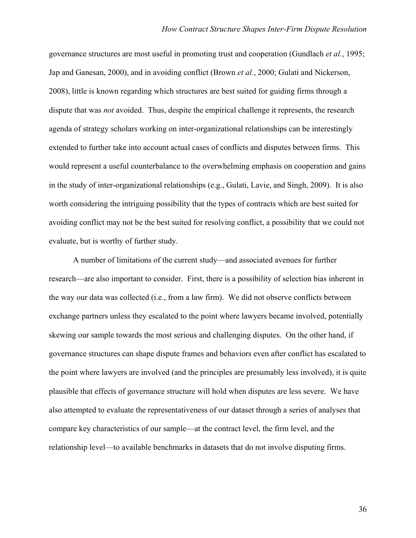governance structures are most useful in promoting trust and cooperation (Gundlach *et al.*, 1995; Jap and Ganesan, 2000), and in avoiding conflict (Brown *et al.*, 2000; Gulati and Nickerson, 2008), little is known regarding which structures are best suited for guiding firms through a dispute that was *not* avoided. Thus, despite the empirical challenge it represents, the research agenda of strategy scholars working on inter-organizational relationships can be interestingly extended to further take into account actual cases of conflicts and disputes between firms. This would represent a useful counterbalance to the overwhelming emphasis on cooperation and gains in the study of inter-organizational relationships (e.g., Gulati, Lavie, and Singh, 2009). It is also worth considering the intriguing possibility that the types of contracts which are best suited for avoiding conflict may not be the best suited for resolving conflict, a possibility that we could not evaluate, but is worthy of further study.

A number of limitations of the current study—and associated avenues for further research—are also important to consider. First, there is a possibility of selection bias inherent in the way our data was collected (i.e., from a law firm). We did not observe conflicts between exchange partners unless they escalated to the point where lawyers became involved, potentially skewing our sample towards the most serious and challenging disputes. On the other hand, if governance structures can shape dispute frames and behaviors even after conflict has escalated to the point where lawyers are involved (and the principles are presumably less involved), it is quite plausible that effects of governance structure will hold when disputes are less severe. We have also attempted to evaluate the representativeness of our dataset through a series of analyses that compare key characteristics of our sample—at the contract level, the firm level, and the relationship level—to available benchmarks in datasets that do not involve disputing firms.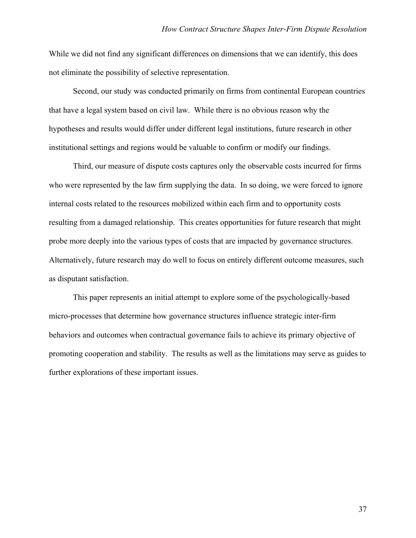While we did not find any significant differences on dimensions that we can identify, this does not eliminate the possibility of selective representation.

Second, our study was conducted primarily on firms from continental European countries that have a legal system based on civil law. While there is no obvious reason why the hypotheses and results would differ under different legal institutions, future research in other institutional settings and regions would be valuable to confirm or modify our findings.

Third, our measure of dispute costs captures only the observable costs incurred for firms who were represented by the law firm supplying the data. In so doing, we were forced to ignore internal costs related to the resources mobilized within each firm and to opportunity costs resulting from a damaged relationship. This creates opportunities for future research that might probe more deeply into the various types of costs that are impacted by governance structures. Alternatively, future research may do well to focus on entirely different outcome measures, such as disputant satisfaction.

This paper represents an initial attempt to explore some of the psychologically-based micro-processes that determine how governance structures influence strategic inter-firm behaviors and outcomes when contractual governance fails to achieve its primary objective of promoting cooperation and stability. The results as well as the limitations may serve as guides to further explorations of these important issues.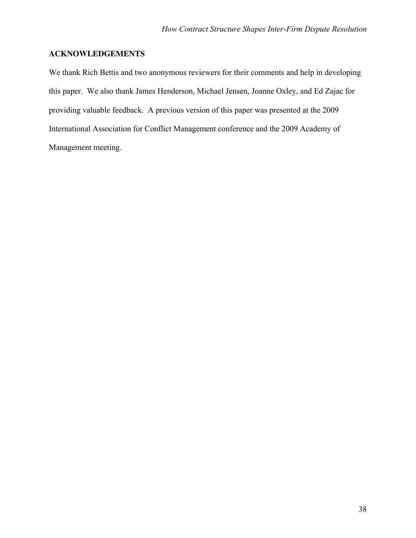## **ACKNOWLEDGEMENTS**

We thank Rich Bettis and two anonymous reviewers for their comments and help in developing this paper. We also thank James Henderson, Michael Jensen, Joanne Oxley, and Ed Zajac for providing valuable feedback. A previous version of this paper was presented at the 2009 International Association for Conflict Management conference and the 2009 Academy of Management meeting.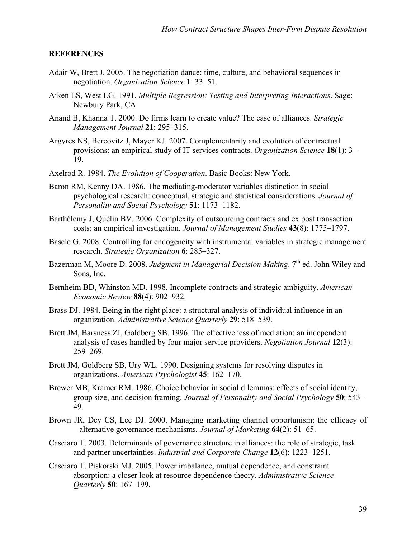#### **REFERENCES**

- Adair W, Brett J. 2005. The negotiation dance: time, culture, and behavioral sequences in negotiation. *Organization Science* **1**: 33–51.
- Aiken LS, West LG. 1991. *Multiple Regression: Testing and Interpreting Interactions*. Sage: Newbury Park, CA.
- Anand B, Khanna T. 2000. Do firms learn to create value? The case of alliances. *Strategic Management Journal* **21**: 295–315.
- Argyres NS, Bercovitz J, Mayer KJ. 2007. Complementarity and evolution of contractual provisions: an empirical study of IT services contracts. *Organization Science* **18**(1): 3– 19.
- Axelrod R. 1984. *The Evolution of Cooperation*. Basic Books: New York.
- Baron RM, Kenny DA. 1986. The mediating-moderator variables distinction in social psychological research: conceptual, strategic and statistical considerations. *Journal of Personality and Social Psychology* **51**: 1173–1182.
- Barthélemy J, Quélin BV. 2006. Complexity of outsourcing contracts and ex post transaction costs: an empirical investigation. *Journal of Management Studies* **43**(8): 1775–1797.
- Bascle G. 2008. Controlling for endogeneity with instrumental variables in strategic management research. *Strategic Organization* **6**: 285–327.
- Bazerman M, Moore D. 2008. *Judgment in Managerial Decision Making*. 7<sup>th</sup> ed. John Wiley and Sons, Inc.
- Bernheim BD, Whinston MD. 1998. Incomplete contracts and strategic ambiguity. *American Economic Review* **88**(4): 902–932.
- Brass DJ. 1984. Being in the right place: a structural analysis of individual influence in an organization. *Administrative Science Quarterly* **29**: 518–539.
- Brett JM, Barsness ZI, Goldberg SB. 1996. The effectiveness of mediation: an independent analysis of cases handled by four major service providers. *Negotiation Journal* **12**(3): 259–269.
- Brett JM, Goldberg SB, Ury WL. 1990. Designing systems for resolving disputes in organizations. *American Psychologist* **45**: 162–170.
- Brewer MB, Kramer RM. 1986. Choice behavior in social dilemmas: effects of social identity, group size, and decision framing. *Journal of Personality and Social Psychology* **50**: 543– 49.
- Brown JR, Dev CS, Lee DJ. 2000. Managing marketing channel opportunism: the efficacy of alternative governance mechanisms*. Journal of Marketing* **64**(2): 51–65.
- Casciaro T. 2003. Determinants of governance structure in alliances: the role of strategic, task and partner uncertainties. *Industrial and Corporate Change* **12**(6): 1223–1251.
- Casciaro T, Piskorski MJ. 2005. Power imbalance, mutual dependence, and constraint absorption: a closer look at resource dependence theory. *Administrative Science Quarterly* **50**: 167–199.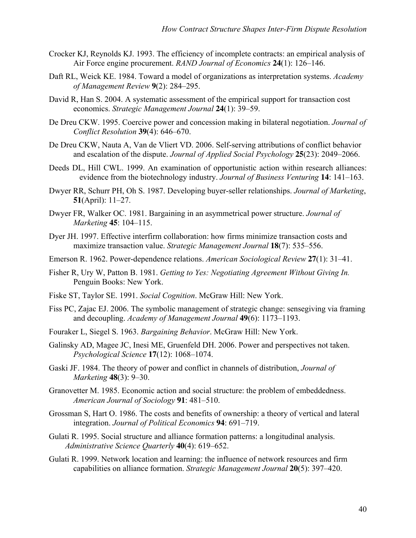- Crocker KJ, Reynolds KJ. 1993. The efficiency of incomplete contracts: an empirical analysis of Air Force engine procurement. *RAND Journal of Economics* **24**(1): 126–146.
- Daft RL, Weick KE. 1984. Toward a model of organizations as interpretation systems. *Academy of Management Review* **9**(2): 284–295.
- David R, Han S. 2004. A systematic assessment of the empirical support for transaction cost economics. *Strategic Management Journal* **24**(1): 39–59.
- De Dreu CKW. 1995. Coercive power and concession making in bilateral negotiation. *Journal of Conflict Resolution* **39**(4): 646–670.
- De Dreu CKW, Nauta A, Van de Vliert VD. 2006. Self-serving attributions of conflict behavior and escalation of the dispute. *Journal of Applied Social Psychology* **25**(23): 2049–2066.
- Deeds DL, Hill CWL. 1999. An examination of opportunistic action within research alliances: evidence from the biotechnology industry. *Journal of Business Venturing* **14**: 141–163.
- Dwyer RR, Schurr PH, Oh S. 1987. Developing buyer-seller relationships. *Journal of Marketing*, **51**(April): 11–27.
- Dwyer FR, Walker OC. 1981. Bargaining in an asymmetrical power structure. *Journal of Marketing* **45**: 104–115.
- Dyer JH. 1997. Effective interfirm collaboration: how firms minimize transaction costs and maximize transaction value. *Strategic Management Journal* **18**(7): 535–556.
- Emerson R. 1962. Power-dependence relations. *American Sociological Review* **27**(1): 31–41.
- Fisher R, Ury W, Patton B. 1981. *Getting to Yes: Negotiating Agreement Without Giving In.* Penguin Books: New York.
- Fiske ST, Taylor SE. 1991. *Social Cognition*. McGraw Hill: New York.
- Fiss PC, Zajac EJ. 2006. The symbolic management of strategic change: sensegiving via framing and decoupling. *Academy of Management Journal* **49**(6): 1173–1193.
- Fouraker L, Siegel S. 1963. *Bargaining Behavior*. McGraw Hill: New York.
- Galinsky AD, Magee JC, Inesi ME, Gruenfeld DH. 2006. Power and perspectives not taken. *Psychological Science* **17**(12): 1068–1074.
- Gaski JF. 1984. The theory of power and conflict in channels of distribution, *Journal of Marketing* **48**(3): 9–30.
- Granovetter M. 1985. Economic action and social structure: the problem of embeddedness. *American Journal of Sociology* **91**: 481–510.
- Grossman S, Hart O. 1986. The costs and benefits of ownership: a theory of vertical and lateral integration. *Journal of Political Economics* **94**: 691–719.
- Gulati R. 1995. Social structure and alliance formation patterns: a longitudinal analysis. *Administrative Science Quarterly* **40**(4): 619–652.
- Gulati R. 1999. Network location and learning: the influence of network resources and firm capabilities on alliance formation. *Strategic Management Journal* **20**(5): 397–420.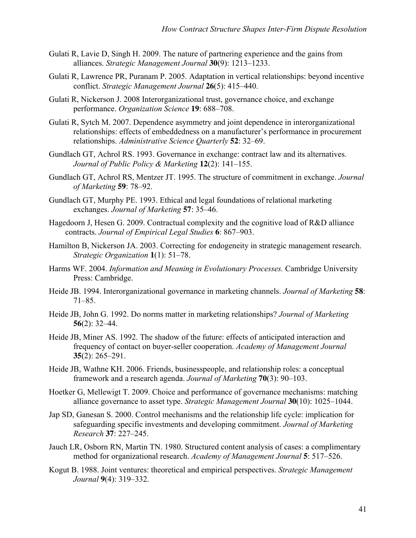- Gulati R, Lavie D, Singh H. 2009. The nature of partnering experience and the gains from alliances. *Strategic Management Journal* **30**(9): 1213–1233.
- Gulati R, Lawrence PR, Puranam P. 2005. Adaptation in vertical relationships: beyond incentive conflict. *Strategic Management Journal* **26**(5): 415–440.
- Gulati R, Nickerson J. 2008 Interorganizational trust, governance choice, and exchange performance. *Organization Science* **19**: 688–708.
- Gulati R, Sytch M. 2007. Dependence asymmetry and joint dependence in interorganizational relationships: effects of embeddedness on a manufacturer's performance in procurement relationships. *Administrative Science Quarterly* **52**: 32–69.
- Gundlach GT, Achrol RS. 1993. Governance in exchange: contract law and its alternatives. *Journal of Public Policy & Marketing* **12**(2): 141–155.
- Gundlach GT, Achrol RS, Mentzer JT. 1995. The structure of commitment in exchange. *Journal of Marketing* **59**: 78–92.
- Gundlach GT, Murphy PE. 1993. Ethical and legal foundations of relational marketing exchanges. *Journal of Marketing* **57**: 35–46.
- Hagedoorn J, Hesen G. 2009. Contractual complexity and the cognitive load of R&D alliance contracts. *Journal of Empirical Legal Studies* **6**: 867–903.
- Hamilton B, Nickerson JA. 2003. Correcting for endogeneity in strategic management research. *Strategic Organization* **1**(1): 51–78.
- Harms WF. 2004. *Information and Meaning in Evolutionary Processes.* Cambridge University Press: Cambridge.
- Heide JB. 1994. Interorganizational governance in marketing channels. *Journal of Marketing* **58**: 71–85.
- Heide JB, John G. 1992. Do norms matter in marketing relationships? *Journal of Marketing* **56**(2): 32–44.
- Heide JB, Miner AS. 1992. The shadow of the future: effects of anticipated interaction and frequency of contact on buyer-seller cooperation. *Academy of Management Journal* **35**(2): 265–291.
- Heide JB, Wathne KH. 2006. Friends, businesspeople, and relationship roles: a conceptual framework and a research agenda. *Journal of Marketing* **70**(3): 90–103.
- Hoetker G, Mellewigt T. 2009. Choice and performance of governance mechanisms: matching alliance governance to asset type. *Strategic Management Journal* **30**(10): 1025–1044.
- Jap SD, Ganesan S. 2000. Control mechanisms and the relationship life cycle: implication for safeguarding specific investments and developing commitment. *Journal of Marketing Research* **37**: 227–245.
- Jauch LR, Osborn RN, Martin TN. 1980. Structured content analysis of cases: a complimentary method for organizational research. *Academy of Management Journal* **5**: 517–526.
- Kogut B. 1988. Joint ventures: theoretical and empirical perspectives. *Strategic Management Journal* **9**(4): 319–332.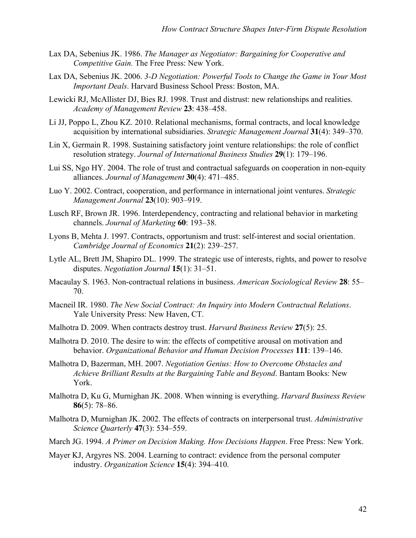- Lax DA, Sebenius JK. 1986. *The Manager as Negotiator: Bargaining for Cooperative and Competitive Gain.* The Free Press: New York.
- Lax DA, Sebenius JK. 2006. *3-D Negotiation: Powerful Tools to Change the Game in Your Most Important Deals*. Harvard Business School Press: Boston, MA.
- Lewicki RJ, McAllister DJ, Bies RJ. 1998. Trust and distrust: new relationships and realities. *Academy of Management Review* **23**: 438–458.
- Li JJ, Poppo L, Zhou KZ. 2010. Relational mechanisms, formal contracts, and local knowledge acquisition by international subsidiaries. *Strategic Management Journal* **31**(4): 349–370.
- Lin X, Germain R. 1998. Sustaining satisfactory joint venture relationships: the role of conflict resolution strategy. *Journal of International Business Studies* **29**(1): 179–196.
- Lui SS, Ngo HY. 2004. The role of trust and contractual safeguards on cooperation in non-equity alliances. *Journal of Management* **30**(4): 471–485.
- Luo Y. 2002. Contract, cooperation, and performance in international joint ventures. *Strategic Management Journal* **23**(10): 903–919.
- Lusch RF, Brown JR. 1996. Interdependency, contracting and relational behavior in marketing channels. *Journal of Marketing* **60**: 193–38.
- Lyons B, Mehta J. 1997. Contracts, opportunism and trust: self-interest and social orientation. *Cambridge Journal of Economics* **21**(2): 239–257.
- Lytle AL, Brett JM, Shapiro DL. 1999. The strategic use of interests, rights, and power to resolve disputes. *Negotiation Journal* **15**(1): 31–51.
- Macaulay S. 1963. Non-contractual relations in business. *American Sociological Review* **28**: 55– 70.
- Macneil IR. 1980. *The New Social Contract: An Inquiry into Modern Contractual Relations*. Yale University Press: New Haven, CT.
- Malhotra D. 2009. When contracts destroy trust. *Harvard Business Review* **27**(5): 25.
- Malhotra D. 2010. The desire to win: the effects of competitive arousal on motivation and behavior. *Organizational Behavior and Human Decision Processes* **111**: 139–146.
- Malhotra D, Bazerman, MH. 2007. *Negotiation Genius: How to Overcome Obstacles and Achieve Brilliant Results at the Bargaining Table and Beyond*. Bantam Books: New York.
- Malhotra D, Ku G, Murnighan JK. 2008. When winning is everything. *Harvard Business Review* **86**(5): 78–86.
- Malhotra D, Murnighan JK. 2002. The effects of contracts on interpersonal trust. *Administrative Science Quarterly* **47**(3): 534–559.
- March JG. 1994. *A Primer on Decision Making. How Decisions Happen*. Free Press: New York.
- Mayer KJ, Argyres NS. 2004. Learning to contract: evidence from the personal computer industry. *Organization Science* **15**(4): 394–410.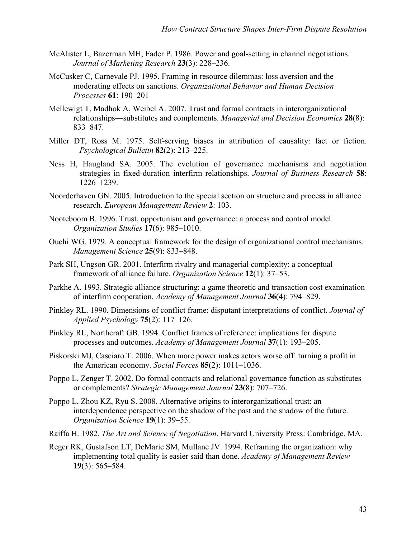- McAlister L, Bazerman MH, Fader P. 1986. Power and goal-setting in channel negotiations. *Journal of Marketing Research* **23**(3): 228–236.
- McCusker C, Carnevale PJ. 1995. Framing in resource dilemmas: loss aversion and the moderating effects on sanctions. *Organizational Behavior and Human Decision Processes* **61**: 190–201
- Mellewigt T, Madhok A, Weibel A. 2007. Trust and formal contracts in interorganizational relationships—substitutes and complements. *Managerial and Decision Economics* **28**(8): 833–847.
- Miller DT, Ross M. 1975. Self-serving biases in attribution of causality: fact or fiction. *Psychological Bulletin* **82**(2): 213–225.
- Ness H, Haugland SA. 2005. The evolution of governance mechanisms and negotiation strategies in fixed-duration interfirm relationships. *Journal of Business Research* **58**: 1226–1239.
- Noorderhaven GN. 2005. Introduction to the special section on structure and process in alliance research. *European Management Review* **2**: 103.
- Nooteboom B. 1996. Trust, opportunism and governance: a process and control model. *Organization Studies* **17**(6): 985–1010.
- Ouchi WG. 1979. A conceptual framework for the design of organizational control mechanisms. *Management Science* **25**(9): 833–848.
- Park SH, Ungson GR. 2001. Interfirm rivalry and managerial complexity: a conceptual framework of alliance failure. *Organization Science* **12**(1): 37–53.
- Parkhe A. 1993. Strategic alliance structuring: a game theoretic and transaction cost examination of interfirm cooperation. *Academy of Management Journal* **36**(4): 794–829.
- Pinkley RL. 1990. Dimensions of conflict frame: disputant interpretations of conflict. *Journal of Applied Psychology* **75**(2): 117–126.
- Pinkley RL, Northcraft GB. 1994. Conflict frames of reference: implications for dispute processes and outcomes. *Academy of Management Journal* **37**(1): 193–205.
- Piskorski MJ, Casciaro T. 2006. When more power makes actors worse off: turning a profit in the American economy. *Social Forces* **85**(2): 1011–1036.
- Poppo L, Zenger T. 2002. Do formal contracts and relational governance function as substitutes or complements? *Strategic Management Journal* **23**(8): 707–726.
- Poppo L, Zhou KZ, Ryu S. 2008. Alternative origins to interorganizational trust: an interdependence perspective on the shadow of the past and the shadow of the future. *Organization Science* **19**(1): 39–55.
- Raiffa H. 1982. *The Art and Science of Negotiation*. Harvard University Press: Cambridge, MA.
- Reger RK, Gustafson LT, DeMarie SM, Mullane JV. 1994. Reframing the organization: why implementing total quality is easier said than done. *Academy of Management Review*  **19**(3): 565–584.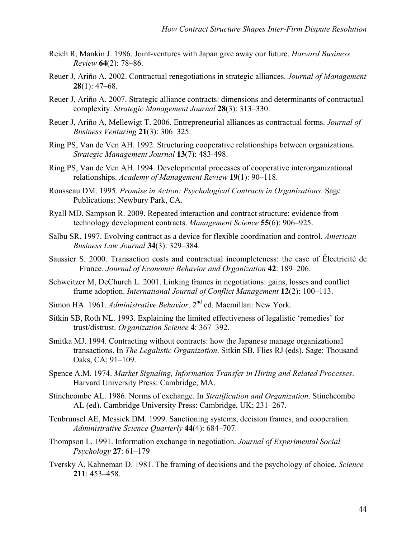- Reich R, Mankin J. 1986. Joint-ventures with Japan give away our future. *Harvard Business Review* **64**(2): 78–86.
- Reuer J, Ariño A. 2002. Contractual renegotiations in strategic alliances. *Journal of Management* **28**(1): 47–68.
- Reuer J, Ariño A. 2007. Strategic alliance contracts: dimensions and determinants of contractual complexity. *Strategic Management Journal* **28**(3): 313–330.
- Reuer J, Ariño A, Mellewigt T. 2006. Entrepreneurial alliances as contractual forms. *Journal of Business Venturing* **21**(3): 306–325.
- Ring PS, Van de Ven AH. 1992. Structuring cooperative relationships between organizations. *Strategic Management Journal* **13**(7): 483-498.
- Ring PS, Van de Ven AH. 1994. Developmental processes of cooperative interorganizational relationships. *Academy of Management Review* **19**(1): 90–118.
- Rousseau DM. 1995. *Promise in Action: Psychological Contracts in Organizations*. Sage Publications: Newbury Park, CA.
- Ryall MD, Sampson R. 2009. Repeated interaction and contract structure: evidence from technology development contracts. *Management Science* **55**(6): 906–925.
- Salbu SR. 1997. Evolving contract as a device for flexible coordination and control. *American Business Law Journal* **34**(3): 329–384.
- Saussier S. 2000. Transaction costs and contractual incompleteness: the case of Électricité de France. *Journal of Economic Behavior and Organization* **42**: 189–206.
- Schweitzer M, DeChurch L. 2001. Linking frames in negotiations: gains, losses and conflict frame adoption. *International Journal of Conflict Management* **12**(2): 100–113.
- Simon HA. 1961. *Administrative Behavior*. 2<sup>nd</sup> ed. Macmillan: New York.
- Sitkin SB, Roth NL. 1993. Explaining the limited effectiveness of legalistic 'remedies' for trust/distrust. *Organization Science* **4**: 367–392.
- Smitka MJ. 1994. Contracting without contracts: how the Japanese manage organizational transactions. In *The Legalistic Organization*. Sitkin SB, Flies RJ (eds). Sage: Thousand Oaks, CA; 91–109.
- Spence A.M. 1974. *Market Signaling, Information Transfer in Hiring and Related Processes*. Harvard University Press: Cambridge, MA.
- Stinchcombe AL. 1986. Norms of exchange. In *Stratification and Organization*. Stinchcombe AL (ed). Cambridge University Press: Cambridge, UK; 231–267.
- Tenbrunsel AE, Messick DM. 1999. Sanctioning systems, decision frames, and cooperation. *Administrative Science Quarterly* **44**(4): 684–707.
- Thompson L. 1991. Information exchange in negotiation. *Journal of Experimental Social Psychology* **27**: 61–179
- Tversky A, Kahneman D. 1981. The framing of decisions and the psychology of choice. *Science*  **211**: 453–458.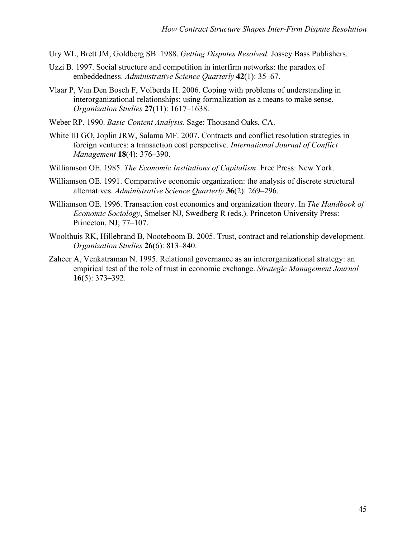- Ury WL, Brett JM, Goldberg SB .1988. *Getting Disputes Resolved*. Jossey Bass Publishers.
- Uzzi B. 1997. Social structure and competition in interfirm networks: the paradox of embeddedness. *Administrative Science Quarterly* **42**(1): 35–67.
- Vlaar P, Van Den Bosch F, Volberda H. 2006. Coping with problems of understanding in interorganizational relationships: using formalization as a means to make sense. *Organization Studies* **27**(11): 1617–1638.
- Weber RP. 1990. *Basic Content Analysis*. Sage: Thousand Oaks, CA.
- White III GO, Joplin JRW, Salama MF. 2007. Contracts and conflict resolution strategies in foreign ventures: a transaction cost perspective. *International Journal of Conflict Management* **18**(4): 376–390.
- Williamson OE. 1985. *The Economic Institutions of Capitalism*. Free Press: New York.
- Williamson OE. 1991. Comparative economic organization: the analysis of discrete structural alternatives. *Administrative Science Quarterly* **36**(2): 269–296.
- Williamson OE. 1996. Transaction cost economics and organization theory. In *The Handbook of Economic Sociology*, Smelser NJ, Swedberg R (eds.). Princeton University Press: Princeton, NJ; 77–107.
- Woolthuis RK, Hillebrand B, Nooteboom B. 2005. Trust, contract and relationship development. *Organization Studies* **26**(6): 813–840.
- Zaheer A, Venkatraman N. 1995. Relational governance as an interorganizational strategy: an empirical test of the role of trust in economic exchange. *Strategic Management Journal* **16**(5): 373–392.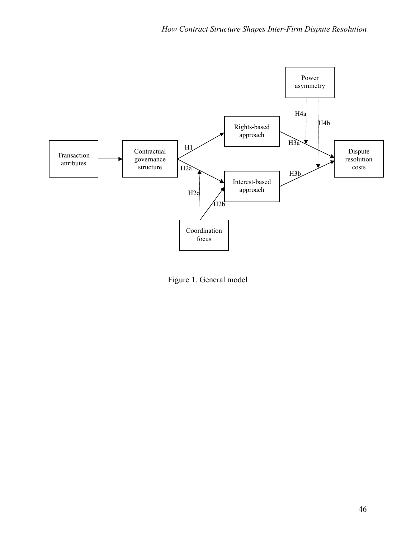

Figure 1. General model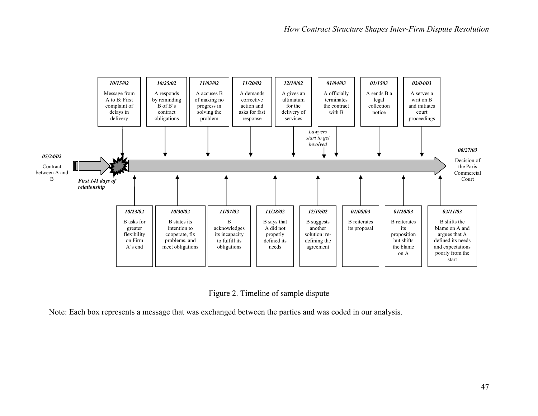

Figure 2. Timeline of sample dispute

Note: Each box represents a message that was exchanged between the parties and was coded in our analysis.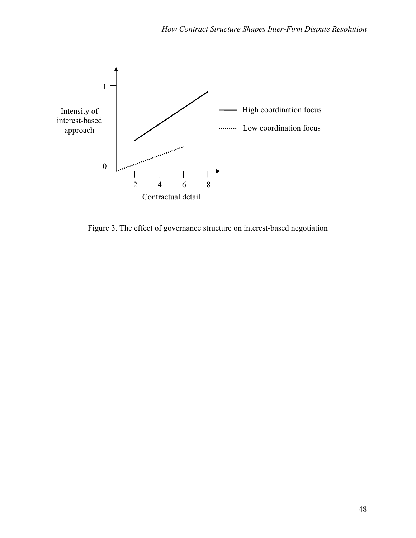

Figure 3. The effect of governance structure on interest-based negotiation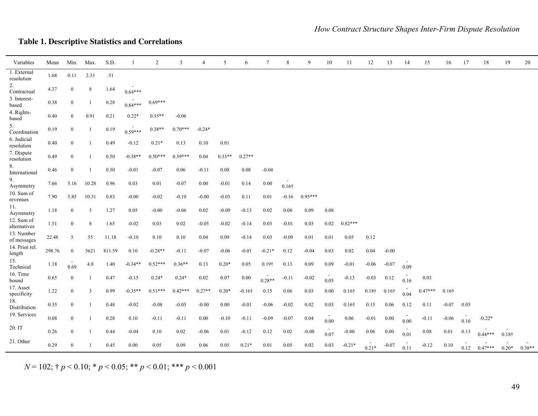## **Table 1. Descriptive Statistics and Correlations**

| Variables                  | Mean     | Min.             | Max.           | S.D.   | $\mathbf{1}$ | $\overline{2}$ | $\mathfrak{Z}$ | $\overline{4}$ | 5        | 6              | $\tau$        | 8             | 9         | 10   | 11            | 12            | 13            | 14   | 15        | 16            | 17   | 18        | 19            | 20       |
|----------------------------|----------|------------------|----------------|--------|--------------|----------------|----------------|----------------|----------|----------------|---------------|---------------|-----------|------|---------------|---------------|---------------|------|-----------|---------------|------|-----------|---------------|----------|
| 1. External<br>resolution  | 1.68     | 0.11             | 2.33           | .51    |              |                |                |                |          |                |               |               |           |      |               |               |               |      |           |               |      |           |               |          |
| 2.<br>Contractual          | 4.37     | $\bf{0}$         | 8              | 1.64   | $0.64***$    |                |                |                |          |                |               |               |           |      |               |               |               |      |           |               |      |           |               |          |
| 3. Interest-<br>based      | 0.38     | $\mathbf{0}$     | -1             | 0.28   | $0.84***$    | $0.69***$      |                |                |          |                |               |               |           |      |               |               |               |      |           |               |      |           |               |          |
| 4. Rights-<br>based        | 0.40     | $\mathbf{0}$     | 0.91           | 0.21   | $0.22*$      | $0.35**$       | $-0.06$        |                |          |                |               |               |           |      |               |               |               |      |           |               |      |           |               |          |
| 5.<br>Coordination         | 0.19     | $\mathbf{0}$     |                | 0.19   | $0.59***$    | $0.38**$       | $0.70***$      | $-0.24*$       |          |                |               |               |           |      |               |               |               |      |           |               |      |           |               |          |
| 6. Judicial<br>resolution  | 0.40     | $\mathbf{0}$     | $\overline{1}$ | 0.49   | $-0.12$      | $0.21*$        | 0.13           | 0.10           | 0.01     |                |               |               |           |      |               |               |               |      |           |               |      |           |               |          |
| 7. Dispute<br>resolution   | 0.49     | $\bf{0}$         |                | 0.50   | $-0.38**$    | $0.50***$      | $0.39***$      | 0.04           | $0.33**$ | $0.27**$       |               |               |           |      |               |               |               |      |           |               |      |           |               |          |
| 8.<br>International        | 0.46     | $\mathbf{0}$     |                | 0.50   | $-0.01$      | $-0.07$        | 0.06           | $-0.11$        | 0.08     | 0.08           | $-0.04$       |               |           |      |               |               |               |      |           |               |      |           |               |          |
| 9.<br>Asymmetry            | 7.66     | 5.16             | 10.28          | 0.96   | 0.03         | 0.01           | $-0.07$        | 0.00           | $-0.01$  | 0.14           | 0.00          | $0.16\dagger$ |           |      |               |               |               |      |           |               |      |           |               |          |
| 10. Sum of<br>revenues     | 7.90     | 5.85             | 10.31          | 0.83   | $-0.00$      | $-0.02$        | $-0.10$        | $-0.00$        | $-0.03$  | 0.11           | 0.01          | $-0.16$       | $0.95***$ |      |               |               |               |      |           |               |      |           |               |          |
| 11.<br>Asymmetry           | 1.18     | $\mathbf{0}$     | 5              | 1.27   | 0.05         | $-0.00$        | $-0.06$        | 0.02           | $-0.09$  | $-0.13$        | 0.02          | 0.00          | 0.09      | 0.08 |               |               |               |      |           |               |      |           |               |          |
| 12. Sum of<br>alternatives | 1.51     | $\mathbf{0}$     | 8              | 1.65   | $-0.02$      | 0.03           | 0.02           | $-0.05$        | $-0.02$  | $-0.14$        | 0.03          | $-0.01$       | 0.03      | 0.02 | $0.82***$     |               |               |      |           |               |      |           |               |          |
| 13. Number<br>of messages  | 22.48    | 5                | 55             | 11.18  | $-0.10$      | 0.10           | 0.10           | 0.04           | 0.09     | $-0.14$        | 0.03          | $-0.09$       | 0.01      | 0.01 | 0.05          | 0.12          |               |      |           |               |      |           |               |          |
| 14. Prior rel.<br>length   | 298.76   | $\overline{0}$   | 5621           | 811.59 | 0.10         | $-0.28**$      | $-0.11$        | $-0.07$        | $-0.06$  | $-0.01$        | $-0.21*$      | 0.12          | $-0.04$   | 0.03 | 0.02          | 0.04          | $-0.00$       |      |           |               |      |           |               |          |
| 15.<br>Technical           | 1.18     | 0.69             | 4.8            | 1.40   | $-0.34**$    | $0.52***$      | $0.36**$       | 0.13           | $0.20*$  | 0.05           | $0.19\dagger$ | 0.13          | 0.09      | 0.09 | $-0.01$       | $-0.06$       | $-0.07$       | 0.09 |           |               |      |           |               |          |
| 16. Time<br>bound          | 0.65     | $\bf{0}$         | -1             | 0.47   | $-0.15$      | $0.24*$        | $0.24*$        | 0.02           | 0.07     | 0.00           | $0.28**$      | $-0.11$       | $-0.02$   | 0.05 | $-0.13$       | $-0.03$       | 0.12          | 0.16 | 0.03      |               |      |           |               |          |
| 17. Asset<br>specificity   | 1.22     | $\mathbf{0}$     | 3              | 0.99   | $-0.35**$    | $0.51***$      | $0.42***$      | $0.27**$       | $0.20*$  | $-0.16\dagger$ | 0.15          | 0.06          | 0.03      | 0.00 | $0.16\dagger$ | $0.18\dagger$ | $0.16\dagger$ | 0.04 | $0.47***$ | $0.16\dagger$ |      |           |               |          |
| 18.<br>Distribution        | 0.35     | $\boldsymbol{0}$ | $\mathbf{1}$   | 0.48   | $-0.02$      | $-0.08$        | $-0.05$        | $-0.00$        | 0.00     | $-0.01$        | $-0.06$       | $-0.02$       | 0.02      | 0.03 | $0.16\dagger$ | 0.15          | 0.06          | 0.12 | 0.11      | $-0.07$       | 0.05 |           |               |          |
| 19. Services               | $0.08\,$ | $\bf{0}$         | $\overline{1}$ | 0.28   | 0.10         | $-0.11$        | $-0.11$        | 0.00           | $-0.10$  | $-0.11$        | $-0.09$       | $-0.07$       | 0.04      | 0.00 | 0.06          | $-0.01$       | 0.00          | 0.00 | $-0.11$   | $-0.06$       | 0.10 | $-0.22*$  |               |          |
| 20.IT                      | 0.26     | $\mathbf{0}$     |                | 0.44   | $-0.04$      | 0.10           | 0.02           | $-0.06$        | 0.01     | $-0.12$        | 0.12          | 0.02          | $-0.08$   | 0.07 | $-0.00$       | 0.06          | 0.00          | 0.01 | 0.08      | 0.01          | 0.13 | $0.44***$ | $0.18\dagger$ |          |
| 21. Other                  | 0.29     | $\mathbf{0}$     |                | 0.45   | 0.00         | 0.05           | 0.09           | 0.06           | 0.05     | $0.21*$        | 0.01          | 0.05          | 0.02      | 0.03 | $-0.21*$      | $0.21*$       | $-0.07$       | 0.11 | $-0.12$   | 0.10          | 0.12 | $0.47***$ | $0.20*$       | $0.38**$ |
|                            |          |                  |                |        |              |                |                |                |          |                |               |               |           |      |               |               |               |      |           |               |      |           |               |          |

*N* = 102; † *p* < 0.10; \* *p* < 0.05; \*\* *p* < 0.01; \*\*\* *p* < 0.001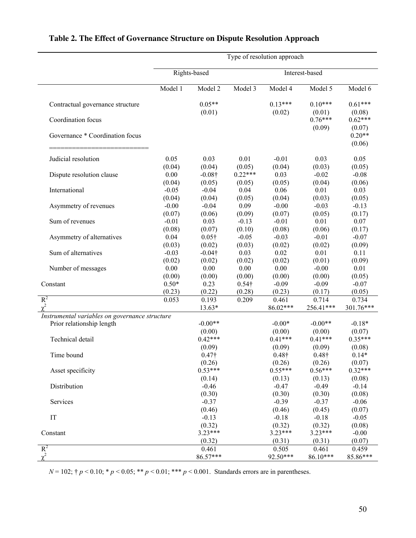|                                                | Type of resolution approach |                |               |               |                     |                     |  |  |  |
|------------------------------------------------|-----------------------------|----------------|---------------|---------------|---------------------|---------------------|--|--|--|
|                                                |                             | Rights-based   |               |               |                     |                     |  |  |  |
|                                                | Model 1                     | Model 2        | Model 3       | Model 4       | Model 5             | Model 6             |  |  |  |
| Contractual governance structure               |                             | $0.05**$       |               | $0.13***$     | $0.10***$           | $0.61***$           |  |  |  |
| Coordination focus                             |                             | (0.01)         |               | (0.02)        | (0.01)<br>$0.76***$ | (0.08)<br>$0.62***$ |  |  |  |
|                                                |                             |                |               |               | (0.09)              | (0.07)              |  |  |  |
| Governance * Coordination focus                |                             |                |               |               |                     | $0.20**$<br>(0.06)  |  |  |  |
|                                                |                             |                |               |               |                     |                     |  |  |  |
| Judicial resolution                            | 0.05                        | 0.03           | 0.01          | $-0.01$       | 0.03                | 0.05                |  |  |  |
|                                                | (0.04)                      | (0.04)         | (0.05)        | (0.04)        | (0.03)              | (0.05)              |  |  |  |
| Dispute resolution clause                      | $0.00\,$                    | $-0.08\dagger$ | $0.22***$     | 0.03          | $-0.02$             | $-0.08$             |  |  |  |
|                                                | (0.04)                      | (0.05)         | (0.05)        | (0.05)        | (0.04)              | (0.06)              |  |  |  |
| International                                  | $-0.05$                     | $-0.04$        | 0.04          | 0.06          | 0.01                | 0.03                |  |  |  |
|                                                | (0.04)                      | (0.04)         | (0.05)        | (0.04)        | (0.03)              | (0.05)              |  |  |  |
| Asymmetry of revenues                          | $-0.00$                     | $-0.04$        | 0.09          | $-0.00$       | $-0.03$             | $-0.13$             |  |  |  |
|                                                | (0.07)                      | (0.06)         | (0.09)        | (0.07)        | (0.05)              | (0.17)              |  |  |  |
| Sum of revenues                                | $-0.01$                     | 0.03           | $-0.13$       | $-0.01$       | 0.01                | 0.07                |  |  |  |
|                                                | (0.08)                      | (0.07)         | (0.10)        | (0.08)        | (0.06)              | (0.17)              |  |  |  |
| Asymmetry of alternatives                      | 0.04                        | $0.05\dagger$  | $-0.05$       | $-0.03$       | $-0.01$             | $-0.07$             |  |  |  |
|                                                | (0.03)                      | (0.02)         | (0.03)        | (0.02)        | (0.02)              | (0.09)              |  |  |  |
| Sum of alternatives                            | $-0.03$                     | $-0.04\dagger$ | 0.03          | 0.02          | 0.01                | 0.11                |  |  |  |
|                                                | (0.02)                      | (0.02)         | (0.02)        | (0.02)        | (0.01)              | (0.09)              |  |  |  |
| Number of messages                             | 0.00                        | 0.00           | 0.00          | 0.00          | $-0.00$             | 0.01                |  |  |  |
|                                                | (0.00)                      | (0.00)         | (0.00)        | (0.00)        | (0.00)              | (0.05)              |  |  |  |
| Constant                                       | $0.50*$                     | 0.23           | $0.54\dagger$ | $-0.09$       | $-0.09$             | $-0.07$             |  |  |  |
|                                                | (0.23)                      | (0.22)         | (0.28)        | (0.23)        | (0.17)              | (0.05)              |  |  |  |
| $R^2$                                          | 0.053                       | 0.193          | 0.209         | 0.461         | 0.714               | 0.734               |  |  |  |
| $\chi^2$                                       |                             | 13.63*         |               | 86.02***      | 256.41***           | 301.76***           |  |  |  |
| Instrumental variables on governance structure |                             |                |               |               |                     |                     |  |  |  |
| Prior relationship length                      |                             | $-0.00**$      |               | $-0.00*$      | $-0.00**$           | $-0.18*$            |  |  |  |
|                                                |                             | (0.00)         |               | (0.00)        | (0.00)              | (0.07)              |  |  |  |
| Technical detail                               |                             | $0.42***$      |               | $0.41***$     | $0.41***$           | $0.35***$           |  |  |  |
|                                                |                             | (0.09)         |               | (0.09)        | (0.09)              | (0.08)              |  |  |  |
| Time bound                                     |                             | $0.47\dagger$  |               | $0.48\dagger$ | $0.48\dagger$       | $0.14*$             |  |  |  |
|                                                |                             | (0.26)         |               | (0.26)        | (0.26)              | (0.07)              |  |  |  |
| Asset specificity                              |                             | $0.53***$      |               | $0.55***$     | $0.56***$           | $0.32***$           |  |  |  |
|                                                |                             | (0.14)         |               | (0.13)        | (0.13)              | (0.08)              |  |  |  |
| Distribution                                   |                             | $-0.46$        |               | $-0.47$       | $-0.49$             | $-0.14$             |  |  |  |
|                                                |                             | (0.30)         |               | (0.30)        | (0.30)              | (0.08)              |  |  |  |
| Services                                       |                             | $-0.37$        |               | $-0.39$       | $-0.37$             | $-0.06$             |  |  |  |
|                                                |                             | (0.46)         |               | (0.46)        | (0.45)              | (0.07)              |  |  |  |
| IT                                             |                             | $-0.13$        |               | $-0.18$       | $-0.18$             | $-0.05$             |  |  |  |
|                                                |                             | (0.32)         |               | (0.32)        | (0.32)              | (0.08)              |  |  |  |
| Constant                                       |                             | $3.23***$      |               | $3.23***$     | $3.23***$           | $-0.00$             |  |  |  |
|                                                |                             | (0.32)         |               | (0.31)        | (0.31)              | (0.07)              |  |  |  |
| $R^2$                                          |                             | 0.461          |               | 0.505         | 0.461               | 0.459               |  |  |  |
| $\chi^2$                                       |                             | 86.57***       |               | 92.50***      | 86.10***            | 85.86***            |  |  |  |
|                                                |                             |                |               |               |                     |                     |  |  |  |

## **Table 2. The Effect of Governance Structure on Dispute Resolution Approach**

*N* = 102; † *p* < 0.10; \* *p* < 0.05; \*\* *p* < 0.01; \*\*\* *p* < 0.001. Standards errors are in parentheses.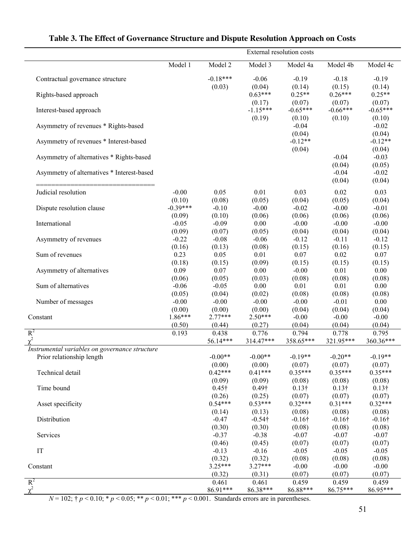|                                                | External resolution costs |                                      |                      |                             |                          |                             |  |  |  |  |  |
|------------------------------------------------|---------------------------|--------------------------------------|----------------------|-----------------------------|--------------------------|-----------------------------|--|--|--|--|--|
|                                                | Model 1                   | Model 2                              | Model 3              | Model 4a                    | Model 4b                 | Model 4c                    |  |  |  |  |  |
| Contractual governance structure               |                           | $-0.18***$                           | $-0.06$              | $-0.19$                     | $-0.18$                  | $-0.19$                     |  |  |  |  |  |
| Rights-based approach                          |                           | (0.03)                               | (0.04)<br>$0.63***$  | (0.14)<br>$0.25**$          | (0.15)<br>$0.26***$      | (0.14)<br>$0.25**$          |  |  |  |  |  |
| Interest-based approach                        |                           |                                      | (0.17)<br>$-1.15***$ | (0.07)<br>$-0.65***$        | (0.07)<br>$-0.66***$     | (0.07)<br>$-0.65***$        |  |  |  |  |  |
| Asymmetry of revenues * Rights-based           |                           |                                      | (0.19)               | (0.10)<br>$-0.04$<br>(0.04) | (0.10)                   | (0.10)<br>$-0.02$<br>(0.04) |  |  |  |  |  |
| Asymmetry of revenues * Interest-based         |                           |                                      |                      | $-0.12**$<br>(0.04)         |                          | $-0.12**$<br>(0.04)         |  |  |  |  |  |
| Asymmetry of alternatives * Rights-based       |                           |                                      |                      |                             | $-0.04$<br>(0.04)        | $-0.03$<br>(0.05)           |  |  |  |  |  |
| Asymmetry of alternatives * Interest-based     |                           |                                      |                      |                             | $-0.04$<br>(0.04)        | $-0.02$<br>(0.04)           |  |  |  |  |  |
| Judicial resolution                            | $-0.00$<br>(0.10)         | 0.05<br>(0.08)                       | 0.01<br>(0.05)       | 0.03<br>(0.04)              | 0.02<br>(0.05)           | 0.03<br>(0.04)              |  |  |  |  |  |
| Dispute resolution clause                      | $-0.39***$<br>(0.09)      | $-0.10$<br>(0.10)                    | $-0.00$<br>(0.06)    | $-0.02$<br>(0.06)           | $-0.00$<br>(0.06)        | $-0.01$<br>(0.06)           |  |  |  |  |  |
| International                                  | $-0.05$<br>(0.09)         | $-0.09$<br>(0.07)                    | 0.00<br>(0.05)       | $-0.00$<br>(0.04)           | $-0.00$<br>(0.04)        | $-0.00$<br>(0.04)           |  |  |  |  |  |
| Asymmetry of revenues                          | $-0.22$<br>(0.16)         | $-0.08$<br>(0.13)                    | $-0.06$<br>(0.08)    | $-0.12$<br>(0.15)           | $-0.11$<br>(0.16)        | $-0.12$<br>(0.15)           |  |  |  |  |  |
| Sum of revenues                                | 0.23<br>(0.18)            | 0.05<br>(0.15)                       | 0.01<br>(0.09)       | 0.07<br>(0.15)              | 0.02<br>(0.15)           | 0.07<br>(0.15)              |  |  |  |  |  |
| Asymmetry of alternatives                      | 0.09<br>(0.06)            | 0.07<br>(0.05)                       | 0.00<br>(0.03)       | $-0.00$<br>(0.08)           | 0.01<br>(0.08)           | 0.00<br>(0.08)              |  |  |  |  |  |
| Sum of alternatives                            | $-0.06$<br>(0.05)         | $-0.05$<br>(0.04)                    | 0.00<br>(0.02)       | 0.01<br>(0.08)              | 0.01<br>(0.08)           | 0.00<br>(0.08)              |  |  |  |  |  |
| Number of messages                             | $-0.00$<br>(0.00)         | $-0.00$<br>(0.00)                    | $-0.00$<br>(0.00)    | $-0.00$<br>(0.04)           | $-0.01$<br>(0.04)        | 0.00<br>(0.04)              |  |  |  |  |  |
| Constant                                       | $1.86***$<br>(0.50)       | $2.77***$<br>(0.44)                  | $2.50***$<br>(0.27)  | $-0.00$<br>(0.04)           | $-0.00$<br>(0.04)        | $-0.00$<br>(0.04)           |  |  |  |  |  |
| $R^2$<br>$\chi^2$                              | 0.193                     | 0.438<br>56.14***                    | 0.776<br>314.47***   | 0.794<br>358.65***          | 0.778<br>321.95***       | 0.795<br>360.36***          |  |  |  |  |  |
| Instrumental variables on governance structure |                           |                                      |                      |                             |                          |                             |  |  |  |  |  |
| Prior relationship length                      |                           | $-0.00**$                            | $-0.00**$            | $-0.19**$                   | $-0.20**$                | $-0.19**$                   |  |  |  |  |  |
| Technical detail                               |                           | (0.00)<br>$0.42***$                  | (0.00)<br>$0.41***$  | (0.07)<br>$0.35***$         | (0.07)<br>$0.35***$      | (0.07)<br>$0.35***$         |  |  |  |  |  |
|                                                |                           | (0.09)                               | (0.09)               | (0.08)                      | (0.08)                   | (0.08)                      |  |  |  |  |  |
| Time bound                                     |                           | $0.45\dagger$                        | $0.49\dagger$        | $0.13\dagger$               | $0.13\dagger$            | $0.13\dagger$               |  |  |  |  |  |
|                                                |                           | (0.26)                               | (0.25)               | (0.07)                      | (0.07)                   | (0.07)                      |  |  |  |  |  |
| Asset specificity                              |                           | $0.54***$                            | $0.53***$            | $0.32***$                   | $0.31***$                | $0.32***$                   |  |  |  |  |  |
| Distribution                                   |                           | (0.14)<br>$-0.47$                    | (0.13)<br>$-0.54$ †  | (0.08)<br>$-0.16\dagger$    | (0.08)<br>$-0.16\dagger$ | (0.08)<br>$-0.16\dagger$    |  |  |  |  |  |
|                                                |                           | (0.30)                               | (0.30)               | (0.08)                      | (0.08)                   | (0.08)                      |  |  |  |  |  |
| Services                                       |                           | $-0.37$                              | $-0.38$              | $-0.07$                     | $-0.07$                  | $-0.07$                     |  |  |  |  |  |
|                                                |                           | (0.46)                               | (0.45)               | (0.07)                      | (0.07)                   | (0.07)                      |  |  |  |  |  |
| IT                                             |                           | $-0.13$                              | $-0.16$              | $-0.05$                     | $-0.05$                  | $-0.05$                     |  |  |  |  |  |
|                                                |                           | (0.32)                               | (0.32)               | (0.08)                      | (0.08)                   | (0.08)                      |  |  |  |  |  |
| Constant                                       |                           | $3.25***$<br>(0.32)                  | $3.27***$<br>(0.31)  | $-0.00$<br>(0.07)           | $-0.00$<br>(0.07)        | $-0.00$<br>(0.07)           |  |  |  |  |  |
| $R^2$                                          |                           | 0.461                                | 0.461                | 0.459                       | 0.459                    | 0.459                       |  |  |  |  |  |
| $\chi^2$                                       |                           | 86.91***                             | 86.38***             | 86.88***                    | 86.75***                 | 86.95***                    |  |  |  |  |  |
| $\geq 0.05$ , **<br>$-102.4$                   |                           | $20.01$ , *** $\sim 0.001$ Ctandards |                      |                             |                          |                             |  |  |  |  |  |

## **Table 3. The Effect of Governance Structure and Dispute Resolution Approach on Costs**

*N* = 102;  $\dagger p$  < 0.10;  $\dagger p$  < 0.05;  $\dagger \dagger p$  < 0.01;  $\dagger \dagger \dagger p$  < 0.001. Standards errors are in parentheses.